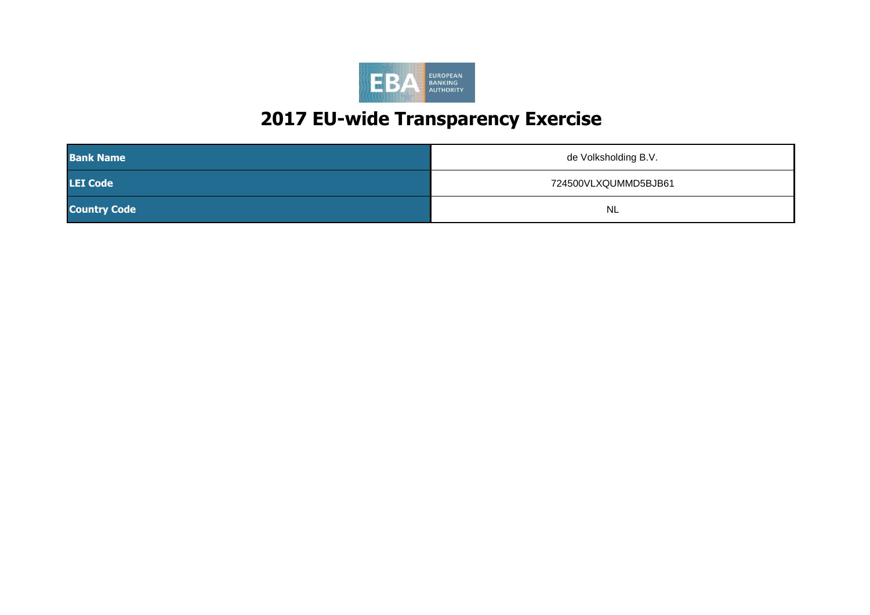

| <b>Bank Name</b>    | de Volksholding B.V. |
|---------------------|----------------------|
| <b>LEI Code</b>     | 724500VLXQUMMD5BJB61 |
| <b>Country Code</b> | <b>NL</b>            |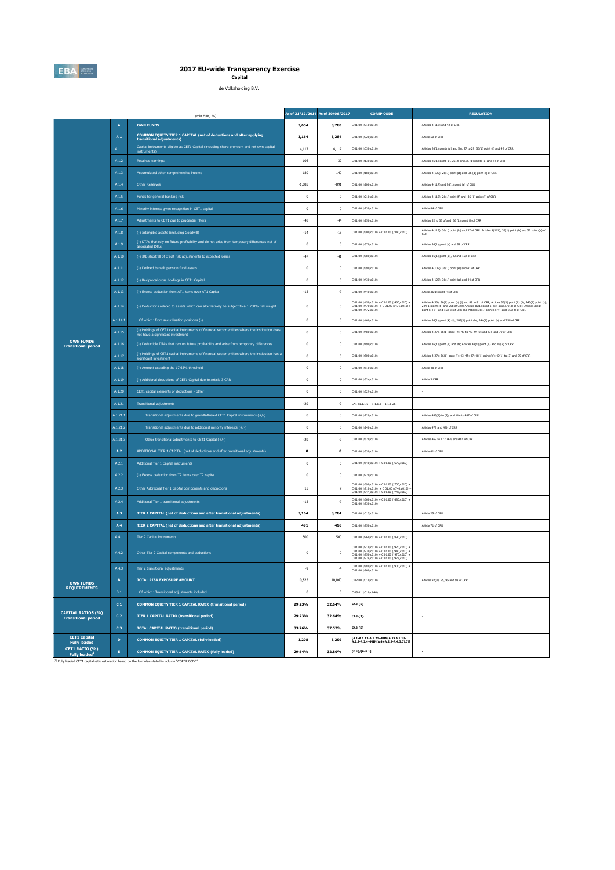

**Capital** de Volksholding B.V.

|                                                              |                 | (mln EUR, %)                                                                                                                           |              | As of 31/12/2016 As of 30/06/2017 | <b>COREP CODE</b>                                                                                                                                                | <b>REGULATION</b>                                                                                                                                                                                                                                                                                 |
|--------------------------------------------------------------|-----------------|----------------------------------------------------------------------------------------------------------------------------------------|--------------|-----------------------------------|------------------------------------------------------------------------------------------------------------------------------------------------------------------|---------------------------------------------------------------------------------------------------------------------------------------------------------------------------------------------------------------------------------------------------------------------------------------------------|
|                                                              | $\overline{A}$  | <b>OWN FUNDS</b>                                                                                                                       | 3,654        | 3,780                             | C 01.00 (r010,c010)                                                                                                                                              | Articles 4(118) and 72 of CRR                                                                                                                                                                                                                                                                     |
|                                                              | A.1             | COMMON EQUITY TIER 1 CAPITAL (net of deductions and after applying<br>transitional adjustments)                                        | 3.164        | 3,284                             | 01.00 (r020.c010)                                                                                                                                                | Article 50 of CRR                                                                                                                                                                                                                                                                                 |
|                                                              | A.1.1           | Capital instruments eligible as CET1 Capital (including share premium and net own capital<br>instruments)                              | 4,117        | 4,117                             | 01.00 (r030,c010)                                                                                                                                                | Articles 26(1) points (a) and (b), 27 to 29, 36(1) point (f) and 42 of CRR                                                                                                                                                                                                                        |
|                                                              | A.1.2           | <b>Retained earnings</b>                                                                                                               | 106          | 32                                | C 01.00 (r130,c010)                                                                                                                                              | Articles 26(1) point (c), 26(2) and 36 (1) points (a) and (f) of CRR                                                                                                                                                                                                                              |
|                                                              | A.1.3           | Accumulated other comprehensive income                                                                                                 | 180          | 140                               | C 01.00 (r180,c010)                                                                                                                                              | Articles 4(100), 26(1) point (d) and 36 (1) point (l) of CRR                                                                                                                                                                                                                                      |
|                                                              | A.1.4           | Other Reserves                                                                                                                         | $-1,085$     | $-891$                            | C 01.00 (r200,c010)                                                                                                                                              | Articles 4(117) and 26(1) point (e) of CRR                                                                                                                                                                                                                                                        |
|                                                              | A.1.5           | Funds for general banking risk                                                                                                         | $\mathbf 0$  | $\bf{0}$                          | C 01.00 (r210,c010)                                                                                                                                              | Articles 4(112), 26(1) point (f) and 36 (1) point (l) of CRR                                                                                                                                                                                                                                      |
|                                                              | A.1.6           | Minority interest given recognition in CET1 capital                                                                                    | $\mathbf{0}$ | $\mathbf{0}$                      | 01.00 (r230.c010)                                                                                                                                                | Article 84 of CRR                                                                                                                                                                                                                                                                                 |
|                                                              | A.1.7           | Adjustments to CET1 due to prudential filters                                                                                          | $-48$        | $-44$                             | 01.00 (r250,c010)                                                                                                                                                | Articles 32 to 35 of and 36 (1) point (I) of CRR                                                                                                                                                                                                                                                  |
|                                                              | A.1.8           | (-) Intangible assets (including Goodwill)                                                                                             | $-14$        | $-13$                             | C 01.00 (r300,c010) + C 01.00 (r340,c010)                                                                                                                        | Articles 4(113), 36(1) point (b) and 37 of CRR. Articles 4(115), 36(1) point (b) and 37 point (a) of<br>CCR                                                                                                                                                                                       |
|                                                              | A.1.9           | (-) DTAs that rely on future profitability and do not arise from temporary differences net of<br>associated DTLs                       | $\mathbf{0}$ | $\mathbf{0}$                      | C 01.00 (r370,c010)                                                                                                                                              | Articles 36(1) point (c) and 38 of CRR                                                                                                                                                                                                                                                            |
|                                                              | A.1.10          | (-) IRB shortfall of credit risk adjustments to expected losses                                                                        | $-47$        | $-41$                             | C 01.00 (r380,c010)                                                                                                                                              | Articles 36(1) point (d), 40 and 159 of CRR                                                                                                                                                                                                                                                       |
|                                                              | A.1.11          | (-) Defined benefit pension fund assets                                                                                                | $\mathbf 0$  | $\mathbf{0}$                      | C 01.00 (r390,c010)                                                                                                                                              | Articles 4(109), 36(1) point (e) and 41 of CRR                                                                                                                                                                                                                                                    |
|                                                              | A.1.12          | (-) Reciprocal cross holdings in CET1 Capital                                                                                          | $\mathbf{0}$ | $\mathbf{0}$                      | C 01.00 (r430,c010)                                                                                                                                              | Articles 4(122), 36(1) point (g) and 44 of CRR                                                                                                                                                                                                                                                    |
|                                                              | A.1.13          | (-) Excess deduction from AT1 items over AT1 Capital                                                                                   | $-15$        | $^{\circ}7$                       | 01.00 (r440,c010)                                                                                                                                                | Article 36(1) point (j) of CRR                                                                                                                                                                                                                                                                    |
|                                                              | A.1.14          | (-) Deductions related to assets which can alternatively be subject to a 1.250% risk weight                                            | $\mathbf{0}$ | $\overline{0}$                    | $201.00 (r450, c010) + C 01.00 (r460, c010) +$<br>$201.00 (r470, c010) + C 01.00 (r471, c010) +$<br>201.00 (r472, c010)                                          | Articles 4(36), 36(1) point (k) (i) and 89 to 91 of CRR; Articles 36(1) point (k) (i), 243(1) point (b),<br>244(1) point (b) and 258 of CRR; Articles 36(1) point k) (ii) and 379(3) of CRR; Articles 36(1)<br>point k) (iv) and 153(8) of CRR and Articles 36(1) point k) (v) and 155(4) of CRR. |
|                                                              | A.1.14.1        | Of which: from securitisation positions (-)                                                                                            | $\mathbf{0}$ | $\mathbf{0}$                      | 01.00 (r460,c010)                                                                                                                                                | Articles 36(1) point (k) (ii), 243(1) point (b), 244(1) point (b) and 258 of CRR                                                                                                                                                                                                                  |
|                                                              | A.1.15          | (-) Holdings of CET1 capital instruments of financial sector entities where the institiution does<br>not have a significant investment | $\mathbf 0$  | $\mathbf 0$                       | 01.00 (r480,c010)                                                                                                                                                | Articles 4(27), 36(1) point (h); 43 to 46, 49 (2) and (3) and 79 of CRR                                                                                                                                                                                                                           |
| <b>OWN FUNDS</b><br><b>Transitional period</b>               | A.1.16          | (-) Deductible DTAs that rely on future profitability and arise from temporary differences                                             | $\mathbf 0$  | $\,0\,$                           | C 01.00 (r490,c010)                                                                                                                                              | Articles 36(1) point (c) and 38; Articles 48(1) point (a) and 48(2) of CRR                                                                                                                                                                                                                        |
|                                                              | A.1.17          | (-) Holdings of CET1 capital instruments of financial sector entities where the institiution has a<br>significant investmen            | $\mathbf{0}$ | $\mathbf{0}$                      | C 01.00 (r500,c010)                                                                                                                                              | Articles 4(27); 36(1) point (i); 43, 45; 47; 48(1) point (b); 49(1) to (3) and 79 of CRR                                                                                                                                                                                                          |
|                                                              | A.1.18          | (-) Amount exceding the 17.65% threshold                                                                                               | $\,0\,$      | $\,0\,$                           | C 01.00 (r510,c010)                                                                                                                                              | Article 48 of CRR                                                                                                                                                                                                                                                                                 |
|                                                              | A.1.19          | (-) Additional deductions of CET1 Capital due to Article 3 CRR                                                                         | $\mathbf 0$  | $\,0\,$                           | C 01.00 (r524,c010)                                                                                                                                              | Article 3 CRR                                                                                                                                                                                                                                                                                     |
|                                                              | A.1.20          | CET1 capital elements or deductions - other                                                                                            | $\mathbf 0$  | $\mathbf{0}$                      | C 01.00 (r529,c010)                                                                                                                                              |                                                                                                                                                                                                                                                                                                   |
|                                                              | A.1.21          | <b>Transitional adjustments</b>                                                                                                        | $-29$        | -9                                | $CA1$ {1.1.1.6 + 1.1.1.8 + 1.1.1.26}                                                                                                                             |                                                                                                                                                                                                                                                                                                   |
|                                                              | A.1.21.1        | Transitional adjustments due to grandfathered CET1 Capital instruments (+/-)                                                           | $\,0\,$      | $\,0\,$                           | 201.00 (r220, c010)                                                                                                                                              | Articles 483(1) to (3), and 484 to 487 of CRR                                                                                                                                                                                                                                                     |
|                                                              | A.1.21.2        | Transitional adjustments due to additional minority interests (+/-)                                                                    | $\mathbf 0$  | $\,0\,$                           | C 01.00 (r240,c010)                                                                                                                                              | Articles 479 and 480 of CRR                                                                                                                                                                                                                                                                       |
|                                                              | A.1.21.3        | Other transitional adjustments to CET1 Capital (+/-)                                                                                   | $-29$        | $-9$                              | C 01.00 (r520,c010)                                                                                                                                              | Articles 469 to 472, 478 and 481 of CRR                                                                                                                                                                                                                                                           |
|                                                              | A.2             | ADDITIONAL TIER 1 CAPITAL (net of deductions and after transitional adjustments)                                                       | $\mathbf 0$  | $\pmb{\mathsf{o}}$                | C 01.00 (r530,c010)                                                                                                                                              | Article 61 of CRR                                                                                                                                                                                                                                                                                 |
|                                                              | A.2.1           | Additional Tier 1 Capital instruments                                                                                                  | $\bf{0}$     | $\mathbf 0$                       | C 01.00 (r540,c010) + C 01.00 (r670,c010)                                                                                                                        |                                                                                                                                                                                                                                                                                                   |
|                                                              | A.2.2           | (-) Excess deduction from T2 items over T2 capital                                                                                     | $\mathbf{0}$ | $\mathbf{0}$                      | 201.00 (r720, c010)                                                                                                                                              |                                                                                                                                                                                                                                                                                                   |
|                                                              | A.2.3           | Other Additional Tier 1 Capital components and deductions                                                                              | $15\,$       | $\overline{7}$                    | C 01.00 (r690,c010) + C 01.00 (r700,c010) +<br>C 01.00 (r710,c010) + C 01.00 (r740,c010)<br>C 01.00 (r744,c010) + C 01.00 (r748,c010)                            |                                                                                                                                                                                                                                                                                                   |
|                                                              | A.2.4           | Additional Tier 1 transitional adjustments                                                                                             | $-15$        | $-7$                              | $01.00 (r660, c010) + C 01.00 (r680, c010) +$<br>201.00 (r730, c010)                                                                                             |                                                                                                                                                                                                                                                                                                   |
|                                                              | A.3             | <b>TIER 1 CAPITAL (net of deductions and after transitional adjustments)</b>                                                           | 3,164        | 3,284                             | 01.00 (r015,c010)                                                                                                                                                | Article 25 of CRR                                                                                                                                                                                                                                                                                 |
|                                                              | A.4             | TIER 2 CAPITAL (net of deductions and after transitional adjustments)                                                                  | 491          | 496                               | C 01.00 (r750,c010)                                                                                                                                              | Article 71 of CRR                                                                                                                                                                                                                                                                                 |
|                                                              | A.4.1           | Tier 2 Capital instruments                                                                                                             | 500          | 500                               | 01.00 (r760,c010) + C 01.00 (r890,c010)                                                                                                                          |                                                                                                                                                                                                                                                                                                   |
|                                                              | A.4.2           | Other Tier 2 Capital components and deductions                                                                                         | $^{\circ}$   | $^{\circ}$                        | C 01.00 (r910,c010) + C 01.00 (r920,c010) +<br>C 01.00 (r930,c010) + C 01.00 (r940,c010) +<br>$(0.100 (r950, c010) + (0.100 (r970, c010) + (0.100 (r970, c010))$ |                                                                                                                                                                                                                                                                                                   |
|                                                              | A.4.3           | Tier 2 transitional adjustments                                                                                                        | -9           | $-4$                              | $C$ 01.00 (r880,c010) + $C$ 01.00 (r900,c010) +                                                                                                                  |                                                                                                                                                                                                                                                                                                   |
| <b>OWN FUNDS</b><br><b>REQUIREMENTS</b>                      | $\, {\bf B} \,$ | <b>TOTAL RISK EXPOSURE AMOUNT</b>                                                                                                      | 10,825       | 10,060                            | 02.00 (r010,c010)                                                                                                                                                | Articles 92(3), 95, 96 and 98 of CRR                                                                                                                                                                                                                                                              |
|                                                              | $\mathsf{B}.1$  | Of which: Transitional adjustments included                                                                                            | $\mathbf 0$  | $\mathbf 0$                       | C 05.01 (r010;c040)                                                                                                                                              |                                                                                                                                                                                                                                                                                                   |
|                                                              | C.1             | <b>COMMON EQUITY TIER 1 CAPITAL RATIO (transitional period)</b>                                                                        | 29.23%       | 32.64%                            | CA3 {1}                                                                                                                                                          |                                                                                                                                                                                                                                                                                                   |
| <b>CAPITAL RATIOS (%)</b><br><b>Transitional period</b>      | C.2             | <b>TIER 1 CAPITAL RATIO (transitional period)</b>                                                                                      | 29.23%       | 32.64%                            | CA3 {3}                                                                                                                                                          |                                                                                                                                                                                                                                                                                                   |
|                                                              | C.3             | <b>TOTAL CAPITAL RATIO (transitional period)</b>                                                                                       | 33.76%       | 37.57%                            | CA3 (5)                                                                                                                                                          | $\sim$                                                                                                                                                                                                                                                                                            |
| <b>CET1 Capital</b><br><b>Fully loaded</b><br>CET1 RATIO (%) | $\mathbf D$     | COMMON EQUITY TIER 1 CAPITAL (fully loaded)                                                                                            | 3,208        | 3,299                             | [A.1-A.1.13-A.1.21+MIN(A.2+A.1.13-<br>A.2.2-A.2.4+MIN(A.4+A.2.2-A.4.3,0),0)]                                                                                     | $\sim$                                                                                                                                                                                                                                                                                            |
| Fully loaded <sup>1</sup>                                    | E.              | COMMON EQUITY TIER 1 CAPITAL RATIO (fully loaded)                                                                                      | 29.64%       | 32.80%                            | $[D.1]/[B-B.1]$                                                                                                                                                  | $\epsilon$                                                                                                                                                                                                                                                                                        |
|                                                              |                 | Fully loaded CET1 capital ratio estimation based on the formulae stated in column "COREP CODE"                                         |              |                                   |                                                                                                                                                                  |                                                                                                                                                                                                                                                                                                   |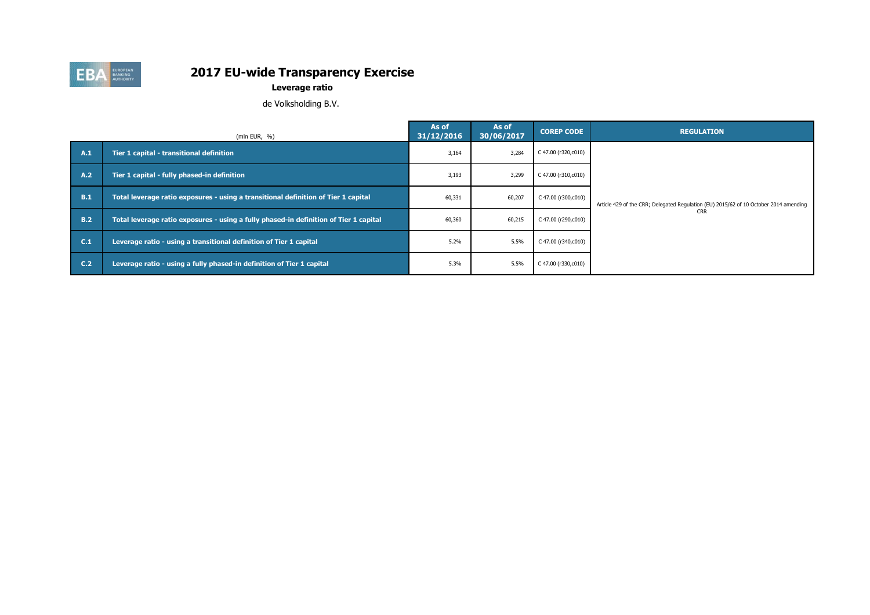

**Leverage ratio**

de Volksholding B.V.

|            | (mln EUR, $%$ )                                                                       | As of<br>31/12/2016 | As of<br>30/06/2017 | <b>COREP CODE</b>   | <b>REGULATION</b>                                                                     |
|------------|---------------------------------------------------------------------------------------|---------------------|---------------------|---------------------|---------------------------------------------------------------------------------------|
| A.1        | Tier 1 capital - transitional definition                                              | 3,164               | 3,284               | C 47.00 (r320,c010) |                                                                                       |
| A.2        | Tier 1 capital - fully phased-in definition                                           | 3,193               | 3,299               | C 47.00 (r310,c010) |                                                                                       |
| B.1        | Total leverage ratio exposures - using a transitional definition of Tier 1 capital    | 60,331              | 60,207              | C 47.00 (r300,c010) | Article 429 of the CRR; Delegated Regulation (EU) 2015/62 of 10 October 2014 amending |
| <b>B.2</b> | Total leverage ratio exposures - using a fully phased-in definition of Tier 1 capital | 60,360              | 60,215              | C 47.00 (r290,c010) | <b>CRR</b>                                                                            |
| C.1        | Leverage ratio - using a transitional definition of Tier 1 capital                    | 5.2%                | 5.5%                | C 47.00 (r340,c010) |                                                                                       |
| C.2        | Leverage ratio - using a fully phased-in definition of Tier 1 capital                 | 5.3%                | 5.5%                | C 47.00 (r330,c010) |                                                                                       |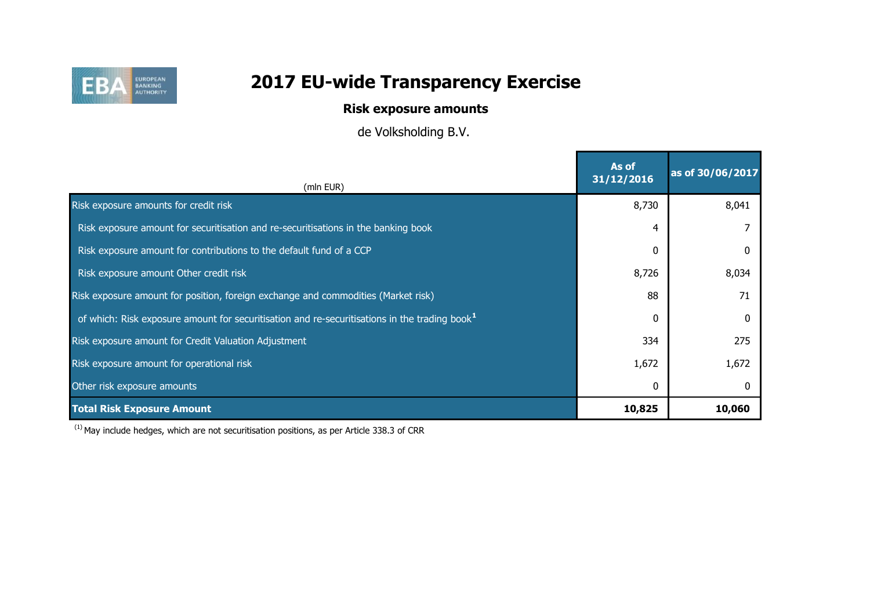

## **Risk exposure amounts**

de Volksholding B.V.

| (mln EUR)                                                                                         | As of<br>31/12/2016 | as of 30/06/2017 |
|---------------------------------------------------------------------------------------------------|---------------------|------------------|
| Risk exposure amounts for credit risk                                                             | 8,730               | 8,041            |
| Risk exposure amount for securitisation and re-securitisations in the banking book                | 4                   |                  |
| Risk exposure amount for contributions to the default fund of a CCP                               | 0                   |                  |
| Risk exposure amount Other credit risk                                                            | 8,726               | 8,034            |
| Risk exposure amount for position, foreign exchange and commodities (Market risk)                 | 88                  | 71               |
| of which: Risk exposure amount for securitisation and re-securitisations in the trading book $^1$ | $\Omega$            | <sup>0</sup>     |
| Risk exposure amount for Credit Valuation Adjustment                                              | 334                 | 275              |
| Risk exposure amount for operational risk                                                         | 1,672               | 1,672            |
| Other risk exposure amounts                                                                       | 0                   |                  |
| <b>Total Risk Exposure Amount</b>                                                                 | 10,825              | 10,060           |

 $(1)$  May include hedges, which are not securitisation positions, as per Article 338.3 of CRR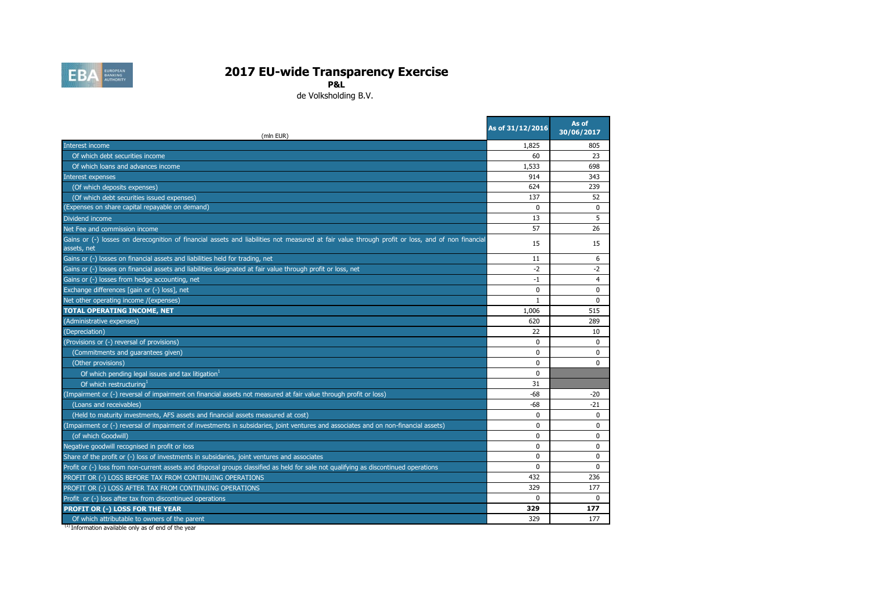

**P&L**

de Volksholding B.V.

**State State** 

| (mln EUR)                                                                                                                                                       | As of 31/12/2016 | As of<br>30/06/2017 |
|-----------------------------------------------------------------------------------------------------------------------------------------------------------------|------------------|---------------------|
| Interest income                                                                                                                                                 | 1,825            | 805                 |
| Of which debt securities income                                                                                                                                 | 60               | 23                  |
| Of which loans and advances income                                                                                                                              | 1,533            | 698                 |
| Interest expenses                                                                                                                                               | 914              | 343                 |
| (Of which deposits expenses)                                                                                                                                    | 624              | 239                 |
| (Of which debt securities issued expenses)                                                                                                                      | 137              | 52                  |
| (Expenses on share capital repayable on demand)                                                                                                                 | $\Omega$         | $\Omega$            |
| Dividend income                                                                                                                                                 | 13               | 5                   |
| Net Fee and commission income                                                                                                                                   | 57               | 26                  |
| Gains or (-) losses on derecognition of financial assets and liabilities not measured at fair value through profit or loss, and of non financial<br>assets, net | 15               | 15                  |
| Gains or (-) losses on financial assets and liabilities held for trading, net                                                                                   | 11               | 6                   |
| Gains or (-) losses on financial assets and liabilities designated at fair value through profit or loss, net                                                    | $-2$             | $-2$                |
| Gains or (-) losses from hedge accounting, net                                                                                                                  | $-1$             | $\overline{4}$      |
| Exchange differences [gain or (-) loss], net                                                                                                                    | 0                | $\mathbf 0$         |
| Net other operating income /(expenses)                                                                                                                          | $\mathbf{1}$     | $\Omega$            |
| <b>TOTAL OPERATING INCOME, NET</b>                                                                                                                              | 1,006            | 515                 |
| (Administrative expenses)                                                                                                                                       | 620              | 289                 |
| (Depreciation)                                                                                                                                                  | 22               | 10                  |
| (Provisions or (-) reversal of provisions)                                                                                                                      | $\mathbf{0}$     | $\Omega$            |
| (Commitments and guarantees given)                                                                                                                              | $\mathbf{0}$     | $\Omega$            |
| (Other provisions)                                                                                                                                              | $\mathbf{0}$     | $\Omega$            |
| Of which pending legal issues and tax litigation <sup>1</sup>                                                                                                   | $\mathbf{0}$     |                     |
| Of which restructuring                                                                                                                                          | 31               |                     |
| (Impairment or (-) reversal of impairment on financial assets not measured at fair value through profit or loss)                                                | $-68$            | $-20$               |
| (Loans and receivables)                                                                                                                                         | $-68$            | $-21$               |
| (Held to maturity investments, AFS assets and financial assets measured at cost)                                                                                | $\Omega$         | $\Omega$            |
| (Impairment or (-) reversal of impairment of investments in subsidaries, joint ventures and associates and on non-financial assets)                             | $\Omega$         | $\Omega$            |
| (of which Goodwill)                                                                                                                                             | $\mathbf{0}$     | $\Omega$            |
| Negative goodwill recognised in profit or loss                                                                                                                  | $\Omega$         | $\Omega$            |
| Share of the profit or (-) loss of investments in subsidaries, joint ventures and associates                                                                    | 0                | $\mathbf 0$         |
| Profit or (-) loss from non-current assets and disposal groups classified as held for sale not qualifying as discontinued operations                            | 0                | 0                   |
| PROFIT OR (-) LOSS BEFORE TAX FROM CONTINUING OPERATIONS                                                                                                        | 432              | 236                 |
| PROFIT OR (-) LOSS AFTER TAX FROM CONTINUING OPERATIONS                                                                                                         | 329              | 177                 |
| Profit or (-) loss after tax from discontinued operations                                                                                                       | $\Omega$         | $\Omega$            |
| PROFIT OR (-) LOSS FOR THE YEAR                                                                                                                                 | 329              | 177                 |
| Of which attributable to owners of the parent                                                                                                                   | 329              | 177                 |

<sup>(1)</sup> Information available only as of end of the year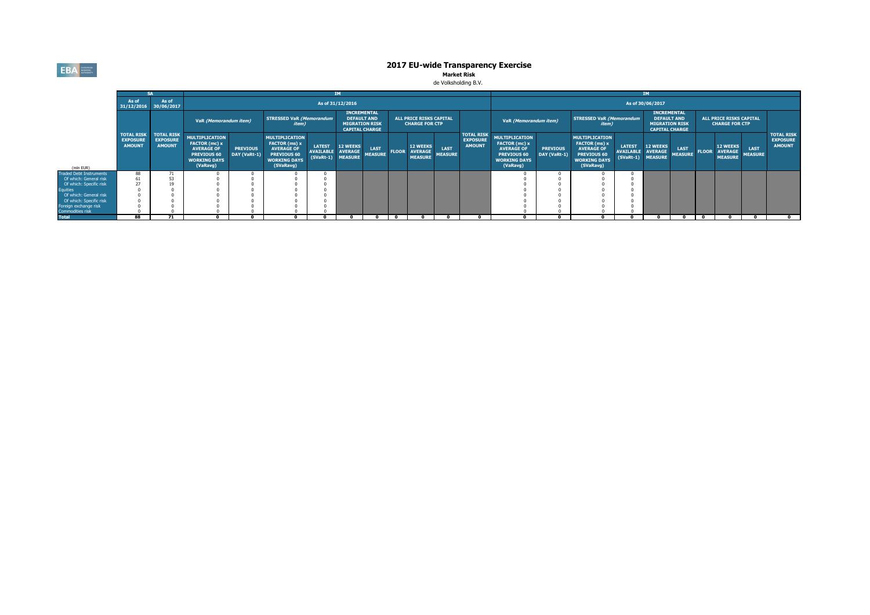**EBA** EUROPEAN

# **2017 EU-wide Transparency Exercise<br>Market Risk<br>de Volksholding B.V.**

|                                           |                                        |                                  |                                                                                                               |                                 |                                                                                                                |                                   |                                                                                            |                               |              | <b>IM</b>                                               |                        |                                                       |                                                                                                                             |                                 |                                                                                                                |                                    |                                                                                            |                               |              |                                                         |                               |                                                       |
|-------------------------------------------|----------------------------------------|----------------------------------|---------------------------------------------------------------------------------------------------------------|---------------------------------|----------------------------------------------------------------------------------------------------------------|-----------------------------------|--------------------------------------------------------------------------------------------|-------------------------------|--------------|---------------------------------------------------------|------------------------|-------------------------------------------------------|-----------------------------------------------------------------------------------------------------------------------------|---------------------------------|----------------------------------------------------------------------------------------------------------------|------------------------------------|--------------------------------------------------------------------------------------------|-------------------------------|--------------|---------------------------------------------------------|-------------------------------|-------------------------------------------------------|
|                                           | As of<br>31/12/2016 30/06/2017         | As of                            |                                                                                                               |                                 |                                                                                                                |                                   | As of 31/12/2016                                                                           |                               |              |                                                         |                        |                                                       | As of 30/06/2017                                                                                                            |                                 |                                                                                                                |                                    |                                                                                            |                               |              |                                                         |                               |                                                       |
|                                           | <b>TOTAL RISK</b><br><b>TOTAL RISK</b> |                                  | VaR (Memorandum item)                                                                                         |                                 | <b>STRESSED VaR (Memorandum</b><br><i>item</i> )                                                               |                                   | <b>INCREMENTAL</b><br><b>DEFAULT AND</b><br><b>MIGRATION RISK</b><br><b>CAPITAL CHARGE</b> |                               |              | <b>ALL PRICE RISKS CAPITAL</b><br><b>CHARGE FOR CTP</b> |                        |                                                       | VaR (Memorandum item)                                                                                                       |                                 | <b>STRESSED VaR (Memorandum</b><br><i>item</i> )                                                               |                                    | <b>INCREMENTAL</b><br><b>DEFAULT AND</b><br><b>MIGRATION RISK</b><br><b>CAPITAL CHARGE</b> |                               |              | <b>ALL PRICE RISKS CAPITAL</b><br><b>CHARGE FOR CTP</b> |                               |                                                       |
| (mln EUR)                                 | <b>EXPOSURE</b><br><b>AMOUNT</b>       | <b>EXPOSURE</b><br><b>AMOUNT</b> | <b>MULTIPLICATION</b><br>FACTOR (mc) x<br><b>AVERAGE OF</b><br>PREVIOUS 60<br><b>WORKING DAYS</b><br>(VaRavg) | <b>PREVIOUS</b><br>DAY (VaRt-1) | <b>MULTIPLICATION</b><br>FACTOR (ms) x<br><b>AVERAGE OF</b><br>PREVIOUS 60<br><b>WORKING DAYS</b><br>(SVaRavg) | <b>LATEST</b><br><b>AVAILABLE</b> | <b>12 WEEKS</b><br><b>AVERAGE</b><br>(SVaRt-1) MEASURE                                     | <b>LAST</b><br><b>MEASURE</b> | <b>FLOOR</b> | <b>12 WEEKS</b><br><b>AVERAGE</b><br><b>MEASURE</b>     | LAST<br><b>MEASURE</b> | <b>TOTAL RISK</b><br><b>EXPOSURE</b><br><b>AMOUNT</b> | <b>MULTIPLICATION</b><br><b>FACTOR</b> (mc) x<br><b>AVERAGE OF</b><br><b>PREVIOUS 60</b><br><b>WORKING DAYS</b><br>(VaRavg) | <b>PREVIOUS</b><br>DAY (VaRt-1) | <b>MULTIPLICATION</b><br>FACTOR (ms) x<br><b>AVERAGE OF</b><br>PREVIOUS 60<br><b>WORKING DAYS</b><br>(SVaRavg) | <b>LATEST</b><br>AVAILABLE AVERAGE | <b>12 WEEKS</b><br>(SVaRt-1) MEASURE                                                       | <b>LAST</b><br><b>MEASURE</b> | <b>FLOOR</b> | <b>12 WEEKS</b><br><b>AVERAGE</b><br><b>MEASURE</b>     | <b>LAST</b><br><b>MEASURE</b> | <b>TOTAL RISK</b><br><b>EXPOSURE</b><br><b>AMOUNT</b> |
| <b>Fraded Debt Instruments</b>            | 88                                     | 71                               |                                                                                                               |                                 |                                                                                                                |                                   |                                                                                            |                               |              |                                                         |                        |                                                       |                                                                                                                             |                                 |                                                                                                                |                                    |                                                                                            |                               |              |                                                         |                               |                                                       |
| Of which: General risk                    |                                        | 53                               |                                                                                                               |                                 |                                                                                                                |                                   |                                                                                            |                               |              |                                                         |                        |                                                       |                                                                                                                             |                                 |                                                                                                                |                                    |                                                                                            |                               |              |                                                         |                               |                                                       |
| Of which: Specific risk                   |                                        |                                  |                                                                                                               |                                 |                                                                                                                |                                   |                                                                                            |                               |              |                                                         |                        |                                                       |                                                                                                                             |                                 |                                                                                                                |                                    |                                                                                            |                               |              |                                                         |                               |                                                       |
| <b>Equities</b>                           |                                        |                                  |                                                                                                               |                                 |                                                                                                                |                                   |                                                                                            |                               |              |                                                         |                        |                                                       |                                                                                                                             |                                 |                                                                                                                |                                    |                                                                                            |                               |              |                                                         |                               |                                                       |
| Of which: General risk                    |                                        |                                  |                                                                                                               |                                 |                                                                                                                |                                   |                                                                                            |                               |              |                                                         |                        |                                                       |                                                                                                                             |                                 |                                                                                                                |                                    |                                                                                            |                               |              |                                                         |                               |                                                       |
| Of which: Specific risk                   |                                        |                                  |                                                                                                               |                                 |                                                                                                                |                                   |                                                                                            |                               |              |                                                         |                        |                                                       |                                                                                                                             |                                 |                                                                                                                |                                    |                                                                                            |                               |              |                                                         |                               |                                                       |
| Foreign exchange risk<br>Commodities risk |                                        |                                  |                                                                                                               |                                 |                                                                                                                |                                   |                                                                                            |                               |              |                                                         |                        |                                                       |                                                                                                                             |                                 |                                                                                                                |                                    |                                                                                            |                               |              |                                                         |                               |                                                       |
| <b>Total</b>                              | 88                                     | 71                               |                                                                                                               |                                 |                                                                                                                |                                   |                                                                                            |                               |              |                                                         |                        |                                                       |                                                                                                                             |                                 |                                                                                                                |                                    |                                                                                            |                               |              |                                                         |                               |                                                       |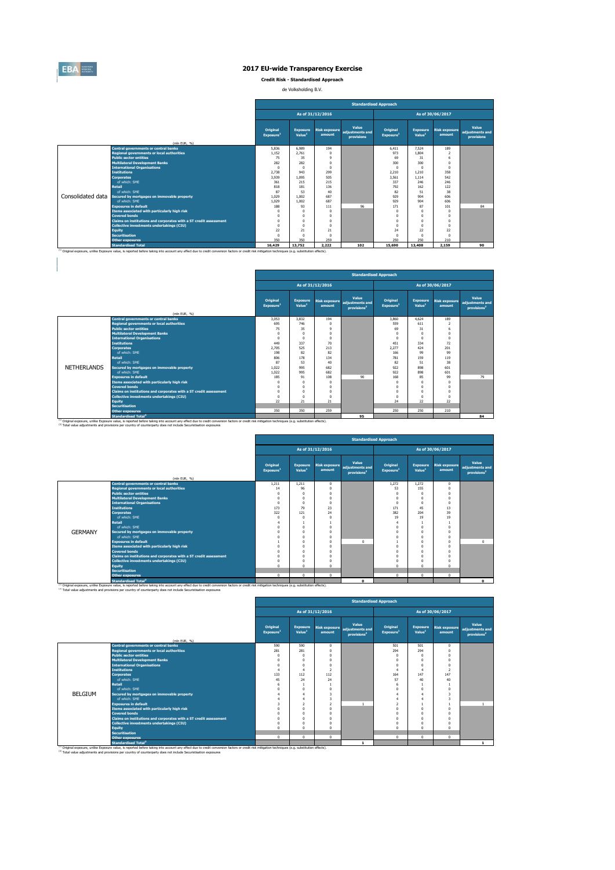

 $\begin{array}{c} \hline \end{array}$ 

### **2017 EU-wide Transparency Exercise**

**Credit Risk - Standardised Approach**

de Volksholding B.V.

|                   |                                                                   | <b>Standardised Approach</b>      |                                       |                                |                                        |                                   |                                       |                                |                                        |  |  |
|-------------------|-------------------------------------------------------------------|-----------------------------------|---------------------------------------|--------------------------------|----------------------------------------|-----------------------------------|---------------------------------------|--------------------------------|----------------------------------------|--|--|
|                   |                                                                   |                                   |                                       | As of 31/12/2016               |                                        |                                   |                                       | As of 30/06/2017               |                                        |  |  |
|                   | (mln EUR, %)                                                      | Original<br>Exposure <sup>1</sup> | <b>Exposure</b><br>Value <sup>1</sup> | <b>Risk exposure</b><br>amount | Value<br>adiustments and<br>provisions | Original<br>Exposure <sup>1</sup> | <b>Exposure</b><br>Value <sup>1</sup> | <b>Risk exposure</b><br>amount | Value<br>adjustments and<br>provisions |  |  |
|                   | <b>Central governments or central banks</b>                       | 5.836                             | 6.989                                 | 194                            |                                        | 6.411                             | 7.524                                 | 189                            |                                        |  |  |
|                   | <b>Regional governments or local authorities</b>                  | 1.152                             | 2.761                                 | $\Omega$                       |                                        | 973                               | 1.804                                 | $\overline{\phantom{a}}$       |                                        |  |  |
|                   | <b>Public sector entities</b>                                     | 75                                | 35                                    | ۹                              |                                        | 69                                | 31                                    | 6                              |                                        |  |  |
|                   | <b>Multilateral Development Banks</b>                             | 282                               | 282                                   | $\Omega$                       |                                        | 300                               | 300                                   | $\Omega$                       |                                        |  |  |
|                   | <b>International Organisations</b>                                | $\Omega$                          | $\Omega$                              | $\Omega$                       |                                        | $\Omega$                          | $\Omega$                              | $\Omega$                       |                                        |  |  |
|                   | <b>Institutions</b>                                               | 2.738                             | 943                                   | 299                            |                                        | 2.210                             | 1.210                                 | 358                            |                                        |  |  |
|                   | <b>Corporates</b>                                                 | 3,939                             | 1.095                                 | 505                            |                                        | 3.561                             | 1.114                                 | 542                            |                                        |  |  |
|                   | of which: SMF                                                     | 361                               | 215                                   | 215                            |                                        | 337                               | 246                                   | 246                            |                                        |  |  |
|                   | <b>Retail</b>                                                     | 818                               | 181                                   | 136                            |                                        | 792                               | 162                                   | 122                            |                                        |  |  |
|                   | of which: SMF                                                     | 87                                | 53                                    | 40                             |                                        | 82                                | 51                                    | 38                             |                                        |  |  |
| Consolidated data | Secured by mortgages on immovable property                        | 1.029                             | 1.002                                 | 687                            |                                        | 929                               | 904                                   | 606                            |                                        |  |  |
|                   | of which: SMF                                                     | 1.029                             | 1.002                                 | 687                            |                                        | 929                               | 904                                   | 606                            |                                        |  |  |
|                   | <b>Exposures in default</b>                                       | 188                               | 93                                    | 111                            | 96                                     | 171                               | 87                                    | 101                            | 84                                     |  |  |
|                   | <b>Items associated with particularly high risk</b>               | $\Omega$                          | $\Omega$                              | $\Omega$                       |                                        | $^{\circ}$                        | $\Omega$                              | $\Omega$                       |                                        |  |  |
|                   | <b>Covered bonds</b>                                              | $\Omega$                          | O                                     |                                |                                        | $\Omega$                          | $\Omega$                              | $\Omega$                       |                                        |  |  |
|                   | Claims on institutions and corporates with a ST credit assessment | $\Omega$                          | O                                     |                                |                                        | $\Omega$                          | $\Omega$                              | $\Omega$                       |                                        |  |  |
|                   | Collective investments undertakings (CIU)                         | $\Omega$                          | $\theta$                              | $\Omega$                       |                                        | $\Omega$                          | $\Omega$                              | $\Omega$                       |                                        |  |  |
|                   | <b>Equity</b>                                                     | 22                                | 21                                    | 21                             |                                        | 24                                | 22                                    | 22                             |                                        |  |  |
|                   | <b>Securitisation</b>                                             | $\Omega$                          |                                       | $\Omega$                       |                                        | $\Omega$                          | $\Omega$                              | $\Omega$                       |                                        |  |  |
|                   | <b>Other exposures</b>                                            | 350                               | 350                                   | 259                            |                                        | 250                               | 250                                   | 210                            |                                        |  |  |
|                   | <b>Standardised Total</b>                                         | 16,429                            | 13,752                                | 2.222                          | 102                                    | 15,690                            | 13,408                                | 2,159                          | 90                                     |  |  |

|                    |                                                                                                                                                                                                                                             |                                          | <b>Standardised Approach</b>          |                                |                                                     |                                   |                                       |                                |                                                     |  |  |  |  |
|--------------------|---------------------------------------------------------------------------------------------------------------------------------------------------------------------------------------------------------------------------------------------|------------------------------------------|---------------------------------------|--------------------------------|-----------------------------------------------------|-----------------------------------|---------------------------------------|--------------------------------|-----------------------------------------------------|--|--|--|--|
|                    |                                                                                                                                                                                                                                             |                                          | As of 31/12/2016<br>As of 30/06/2017  |                                |                                                     |                                   |                                       |                                |                                                     |  |  |  |  |
|                    | (mln EUR, %)                                                                                                                                                                                                                                | <b>Original</b><br>Exposure <sup>1</sup> | <b>Exposure</b><br>Value <sup>1</sup> | <b>Risk exposure</b><br>amount | Value<br>adjustments and<br>provisions <sup>2</sup> | Original<br>Exposure <sup>1</sup> | <b>Exposure</b><br>Value <sup>1</sup> | <b>Risk exposure</b><br>amount | Value<br>adjustments and<br>provisions <sup>2</sup> |  |  |  |  |
|                    | <b>Central governments or central banks</b>                                                                                                                                                                                                 | 3.053                                    | 3.832                                 | 194                            |                                                     | 3,860                             | 4.624                                 | 189                            |                                                     |  |  |  |  |
|                    | <b>Regional governments or local authorities</b>                                                                                                                                                                                            | 695                                      | 746                                   | $\Omega$                       |                                                     | 559                               | 611                                   | $\overline{2}$                 |                                                     |  |  |  |  |
|                    | <b>Public sector entities</b>                                                                                                                                                                                                               | 75                                       | 35                                    | $\Omega$                       |                                                     | 69                                | 31                                    | 6                              |                                                     |  |  |  |  |
|                    | <b>Multilateral Development Banks</b>                                                                                                                                                                                                       | O                                        | $\Omega$                              | n                              |                                                     | $\Omega$                          | $\Omega$                              |                                |                                                     |  |  |  |  |
|                    | <b>International Organisations</b>                                                                                                                                                                                                          | 0                                        | $\Omega$                              | n                              |                                                     | $\Omega$                          | $\Omega$                              | $\Omega$                       |                                                     |  |  |  |  |
|                    | <b>Institutions</b>                                                                                                                                                                                                                         | 449                                      | 337                                   | 70                             |                                                     | 451                               | 334                                   | 72                             |                                                     |  |  |  |  |
|                    | <b>Corporates</b>                                                                                                                                                                                                                           | 2.705                                    | 525                                   | 213                            |                                                     | 2.277                             | 424                                   | 201                            |                                                     |  |  |  |  |
|                    | of which: SMF                                                                                                                                                                                                                               | 198                                      | 82                                    | 82                             |                                                     | 166                               | 99                                    | 99                             |                                                     |  |  |  |  |
|                    | <b>Retail</b>                                                                                                                                                                                                                               | 806                                      | 178                                   | 134                            |                                                     | 781                               | 159                                   | 119                            |                                                     |  |  |  |  |
|                    | of which: SME                                                                                                                                                                                                                               | 87                                       | 53                                    | 40                             |                                                     | 82                                | 51                                    | 38                             |                                                     |  |  |  |  |
| <b>NETHERLANDS</b> | Secured by mortgages on immovable property                                                                                                                                                                                                  | 1.022                                    | 995                                   | 682                            |                                                     | 922                               | 898                                   | 601                            |                                                     |  |  |  |  |
|                    | of which: SMF                                                                                                                                                                                                                               | 1.022                                    | 995                                   | 682                            |                                                     | 922                               | 898                                   | 601                            |                                                     |  |  |  |  |
|                    | <b>Exposures in default</b>                                                                                                                                                                                                                 | 185                                      | 91                                    | 108                            | 90                                                  | 168                               | 85                                    | 99                             | 79                                                  |  |  |  |  |
|                    | Items associated with particularly high risk                                                                                                                                                                                                | Λ                                        | $^{\circ}$                            | $\Omega$                       |                                                     | $\Omega$                          | $\Omega$                              | $\Omega$                       |                                                     |  |  |  |  |
|                    | <b>Covered bonds</b>                                                                                                                                                                                                                        | n                                        | $\Omega$                              | n                              |                                                     | $\Omega$                          | $\Omega$                              | n                              |                                                     |  |  |  |  |
|                    | Claims on institutions and corporates with a ST credit assessment                                                                                                                                                                           | 0                                        | $\Omega$                              | n                              |                                                     | $\Omega$                          | $\Omega$                              | n                              |                                                     |  |  |  |  |
|                    | <b>Collective investments undertakings (CIU)</b>                                                                                                                                                                                            | $\Omega$                                 | $\Omega$                              | $\Omega$                       |                                                     | $\Omega$                          | $\Omega$                              | $\Omega$                       |                                                     |  |  |  |  |
|                    | <b>Equity</b>                                                                                                                                                                                                                               | 22                                       | 21                                    | 21                             |                                                     | 24                                | 22                                    | 22                             |                                                     |  |  |  |  |
|                    | <b>Securitisation</b>                                                                                                                                                                                                                       |                                          |                                       |                                |                                                     |                                   |                                       |                                |                                                     |  |  |  |  |
|                    | <b>Other exposures</b>                                                                                                                                                                                                                      | 350                                      | 350                                   | 259                            |                                                     | 250                               | 250                                   | 210                            |                                                     |  |  |  |  |
|                    | <b>Standardised Total<sup>2</sup></b><br>(1) Original exposure, unlike Exposure value, is reported before taking into account any effect due to credit conversion factors or credit risk mitigation techniques (e.g. substitution effects). |                                          |                                       |                                | 95                                                  |                                   |                                       |                                | 84                                                  |  |  |  |  |

|                |                                                                        | <b>Standardised Approach</b>         |                    |                        |                                                                            |                                   |                                |                                |                                                     |  |  |  |
|----------------|------------------------------------------------------------------------|--------------------------------------|--------------------|------------------------|----------------------------------------------------------------------------|-----------------------------------|--------------------------------|--------------------------------|-----------------------------------------------------|--|--|--|
|                |                                                                        | As of 31/12/2016<br>As of 30/06/2017 |                    |                        |                                                                            |                                   |                                |                                |                                                     |  |  |  |
|                |                                                                        | Original<br>Exposure <sup>1</sup>    | Value <sup>1</sup> | amount                 | Value<br>Exposure Risk exposure adjustments and<br>provisions <sup>2</sup> | Original<br>Exposure <sup>1</sup> | Exposure<br>Value <sup>1</sup> | <b>Risk exposure</b><br>amount | Value<br>adjustments and<br>provisions <sup>2</sup> |  |  |  |
|                | (mln EUR, %)                                                           |                                      |                    |                        |                                                                            |                                   |                                |                                |                                                     |  |  |  |
|                | <b>Central governments or central banks</b>                            | 1,211                                | 1.211<br>96        | $^{\circ}$             |                                                                            | 1,272<br>53                       | 1,272<br>155                   | $\mathbf{0}$                   |                                                     |  |  |  |
|                | <b>Regional governments or local authorities</b>                       | 14                                   |                    | $\Omega$               |                                                                            |                                   |                                | $\Omega$                       |                                                     |  |  |  |
|                | <b>Public sector entities</b><br><b>Multilateral Development Banks</b> | $\Omega$<br>$\Omega$                 | $\Omega$           | $\Omega$<br>$\Omega$   |                                                                            | $\Omega$<br>$\sqrt{ }$            | n                              | O<br>n                         |                                                     |  |  |  |
|                |                                                                        |                                      |                    | $\Omega$               |                                                                            |                                   |                                |                                |                                                     |  |  |  |
|                | <b>International Organisations</b><br><b>Institutions</b>              | $\Omega$                             | $\Omega$<br>79     |                        |                                                                            | $\Omega$                          | n<br>45                        | $\Omega$                       |                                                     |  |  |  |
|                |                                                                        | 173<br>322                           |                    | 23                     |                                                                            | 171<br>382                        | 204                            | 13<br>39                       |                                                     |  |  |  |
|                | <b>Corporates</b><br>of which: SME                                     | $\Omega$                             | 121<br>n           | 24<br>$\Omega$         |                                                                            | 19                                | 19                             | 19                             |                                                     |  |  |  |
|                | <b>Retail</b>                                                          |                                      |                    |                        |                                                                            |                                   |                                |                                |                                                     |  |  |  |
|                | of which: SMF                                                          |                                      | $\Omega$           | $\Omega$               |                                                                            |                                   | $\theta$                       | $\Omega$                       |                                                     |  |  |  |
| <b>GERMANY</b> | Secured by mortgages on immovable property                             |                                      |                    | $\Omega$               |                                                                            |                                   |                                |                                |                                                     |  |  |  |
|                | of which: SMF                                                          |                                      | O<br>n             | $\Omega$               |                                                                            |                                   | n<br>$\theta$                  | $\Omega$                       |                                                     |  |  |  |
|                | <b>Exposures in default</b>                                            |                                      |                    |                        | $\Omega$                                                                   |                                   |                                |                                | $\Omega$                                            |  |  |  |
|                |                                                                        |                                      | O<br>$\Omega$      | $\bf{0}$<br>$\Omega$   |                                                                            | n                                 | n<br>$\theta$                  | O<br>$\Omega$                  |                                                     |  |  |  |
|                | Items associated with particularly high risk<br><b>Covered bonds</b>   |                                      | O                  | $\Omega$               |                                                                            |                                   | n                              |                                |                                                     |  |  |  |
|                | Claims on institutions and corporates with a ST credit assessment      |                                      | n                  | $\Omega$               |                                                                            |                                   | $\theta$                       | n                              |                                                     |  |  |  |
|                | Collective investments undertakings (CIU)                              |                                      | O                  |                        |                                                                            |                                   | n                              | O                              |                                                     |  |  |  |
|                | Equity                                                                 | $\Omega$                             | $\Omega$           | $^{\circ}$<br>$\Omega$ |                                                                            | $\Omega$                          | $\mathbf{0}$                   | $\Omega$                       |                                                     |  |  |  |
|                | <b>Securitisation</b>                                                  |                                      |                    |                        |                                                                            |                                   |                                |                                |                                                     |  |  |  |
|                | <b>Other exposures</b>                                                 | $\mathbf 0$                          | $^{\circ}$         | $\mathbf{0}$           |                                                                            | $^{\circ}$                        | 0                              | $\Omega$                       |                                                     |  |  |  |
|                | the company of the company of the                                      |                                      |                    |                        | $\sim$                                                                     |                                   |                                |                                |                                                     |  |  |  |

 $\overline{a}$ 

<sup>13</sup> Original exposure, unlike Exposure and archive and a scount any effect due to credit conversion factors or credit risk mitigation techniques (e.g. substitution effects).<br><sup>23</sup> Total value adjustments and provisions per

|                |                                                                   | <b>Standardised Approach</b>      |                                       |                  |                                                                   |                                   |                                       |                                |                                                     |  |  |
|----------------|-------------------------------------------------------------------|-----------------------------------|---------------------------------------|------------------|-------------------------------------------------------------------|-----------------------------------|---------------------------------------|--------------------------------|-----------------------------------------------------|--|--|
|                |                                                                   |                                   |                                       | As of 31/12/2016 |                                                                   |                                   |                                       | As of 30/06/2017               |                                                     |  |  |
|                |                                                                   | Original<br>Exposure <sup>1</sup> | <b>Exposure</b><br>Value <sup>1</sup> | amount           | Value<br>Risk exposure adjustments and<br>provisions <sup>2</sup> | Original<br>Exposure <sup>1</sup> | <b>Exposure</b><br>Value <sup>1</sup> | <b>Risk exposure</b><br>amount | Value<br>adjustments and<br>provisions <sup>2</sup> |  |  |
|                | (mln EUR, %)<br><b>Central governments or central banks</b>       | 590                               | 590                                   | $\bf{0}$         |                                                                   | 501                               | 501                                   | $\mathbf{0}$                   |                                                     |  |  |
|                | <b>Regional governments or local authorities</b>                  | 281                               | 281                                   | $\Omega$         |                                                                   | 294                               | 294                                   | $\Omega$                       |                                                     |  |  |
|                | <b>Public sector entities</b>                                     | $\Omega$                          | $\Omega$                              | $\Omega$         |                                                                   | $\Omega$                          |                                       | $\Omega$                       |                                                     |  |  |
|                | <b>Multilateral Development Banks</b>                             | $\Omega$                          | $\Omega$                              | $\Omega$         |                                                                   | $\Omega$                          | $\Omega$                              | $\Omega$                       |                                                     |  |  |
|                | <b>International Organisations</b>                                | $\Omega$                          | $\Omega$                              | $\Omega$         |                                                                   | $\Omega$                          | $\Omega$                              | $\Omega$                       |                                                     |  |  |
|                | <b>Institutions</b>                                               | $\Delta$                          |                                       | $\mathcal{L}$    |                                                                   | 4                                 |                                       | $\overline{z}$                 |                                                     |  |  |
|                | <b>Corporates</b>                                                 | 133                               | 112                                   | 112              |                                                                   | 164                               | 147                                   | 147                            |                                                     |  |  |
|                | of which: SME                                                     | 45                                | 24                                    | 24               |                                                                   | 57                                | 40                                    | 40                             |                                                     |  |  |
|                | <b>Retail</b>                                                     | 6                                 |                                       |                  |                                                                   | 6                                 |                                       |                                |                                                     |  |  |
|                | of which: SMF                                                     | $\Omega$                          | $\Omega$                              | $\Omega$         |                                                                   |                                   | $\Omega$                              | n                              |                                                     |  |  |
| <b>BELGIUM</b> | Secured by mortgages on immovable property                        |                                   |                                       | 3                |                                                                   |                                   |                                       |                                |                                                     |  |  |
|                | of which: SMF                                                     |                                   |                                       | 3                |                                                                   |                                   |                                       | 3                              |                                                     |  |  |
|                | <b>Exposures in default</b>                                       | 3                                 | $\overline{2}$                        | $\overline{2}$   |                                                                   | $\mathcal{P}$                     |                                       |                                |                                                     |  |  |
|                | Items associated with particularly high risk                      | $\Omega$                          | $\Omega$                              | $\Omega$         |                                                                   |                                   | $\Omega$                              |                                |                                                     |  |  |
|                | <b>Covered bonds</b>                                              | $\Omega$                          | $\Omega$                              | $\Omega$         |                                                                   |                                   |                                       |                                |                                                     |  |  |
|                | Claims on institutions and corporates with a ST credit assessment | $\Omega$                          | $\Omega$                              | $\Omega$         |                                                                   |                                   |                                       |                                |                                                     |  |  |
|                | <b>Collective investments undertakings (CIU)</b>                  | $\Omega$                          | $\Omega$                              | $\Omega$         |                                                                   |                                   |                                       |                                |                                                     |  |  |
|                | Equity                                                            | $\Omega$                          | $\Omega$                              | $\Omega$         |                                                                   | $\Omega$                          | $\Omega$                              | $\Omega$                       |                                                     |  |  |
|                | <b>Securitisation</b>                                             |                                   |                                       |                  |                                                                   |                                   |                                       |                                |                                                     |  |  |
|                | <b>Other exposures</b>                                            | $\Omega$                          | $\Omega$                              | $\Omega$         |                                                                   | $\Omega$                          | $\Omega$                              | $\Omega$                       |                                                     |  |  |
|                | <b>Standardised Total<sup>2</sup></b>                             |                                   |                                       |                  |                                                                   |                                   |                                       |                                | $\mathbf{1}$                                        |  |  |

<sup>(1)</sup> Original exposure, unlike Exposure value, is reported before taking into account any effect due to credit conversion factors or credit risk mitigation techniques (e.g. substitution effects).<br><sup>(2)</sup> Total value adjustm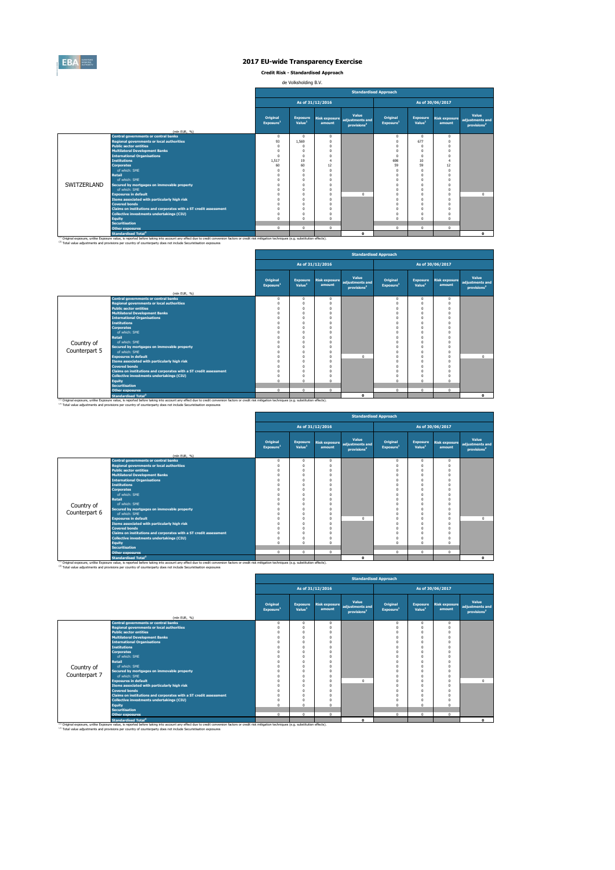

**Credit Risk - Standardised Approach**

de Volksholding B.V.

|             |                                                                                                                                                                                                                                                                                                                         |                                      |                                       |          | <b>Standardised Approach</b>                                      |                                   |                                       |                                |                                                     |
|-------------|-------------------------------------------------------------------------------------------------------------------------------------------------------------------------------------------------------------------------------------------------------------------------------------------------------------------------|--------------------------------------|---------------------------------------|----------|-------------------------------------------------------------------|-----------------------------------|---------------------------------------|--------------------------------|-----------------------------------------------------|
|             |                                                                                                                                                                                                                                                                                                                         | As of 31/12/2016<br>As of 30/06/2017 |                                       |          |                                                                   |                                   |                                       |                                |                                                     |
|             | (mln EUR, %)                                                                                                                                                                                                                                                                                                            | Original<br>Exposure <sup>1</sup>    | <b>Exposure</b><br>Value <sup>1</sup> | amount   | Value<br>Risk exposure adjustments and<br>provisions <sup>2</sup> | Original<br>Exposure <sup>1</sup> | <b>Exposure</b><br>Value <sup>1</sup> | <b>Risk exposure</b><br>amount | Value<br>adjustments and<br>provisions <sup>2</sup> |
|             | <b>Central governments or central banks</b>                                                                                                                                                                                                                                                                             | $\Omega$                             | $\Omega$                              | $\Omega$ |                                                                   | $^{\circ}$                        | $\Omega$                              | $\Omega$                       |                                                     |
|             | <b>Regional governments or local authorities</b>                                                                                                                                                                                                                                                                        | 93                                   | 1.569                                 | $\Omega$ |                                                                   | $^{\circ}$                        | 677                                   | $\Omega$                       |                                                     |
|             | <b>Public sector entities</b>                                                                                                                                                                                                                                                                                           |                                      |                                       |          |                                                                   | $\Omega$                          | $\Omega$                              | $\Omega$                       |                                                     |
|             | <b>Multilateral Development Banks</b>                                                                                                                                                                                                                                                                                   |                                      | $\Omega$                              | $\Omega$ |                                                                   | $\Omega$                          | $\Omega$                              | $\Omega$                       |                                                     |
|             | <b>International Organisations</b>                                                                                                                                                                                                                                                                                      | $\Omega$                             | $\Omega$                              | $\Omega$ |                                                                   | $\Omega$                          | $\Omega$                              | $\Omega$                       |                                                     |
|             | <b>Institutions</b>                                                                                                                                                                                                                                                                                                     | 1.517                                | 19                                    |          |                                                                   | 698                               | 10                                    |                                |                                                     |
|             | <b>Corporates</b>                                                                                                                                                                                                                                                                                                       | 60                                   | 60                                    | 12       |                                                                   | 59                                | 59                                    | 12                             |                                                     |
|             | of which: SMF                                                                                                                                                                                                                                                                                                           |                                      | n                                     | $\Omega$ |                                                                   | $\Omega$                          | $\Omega$                              | $\Omega$                       |                                                     |
|             | <b>Retail</b>                                                                                                                                                                                                                                                                                                           |                                      | O                                     | $\Omega$ |                                                                   | $\Omega$                          | $\Omega$                              | $\Omega$                       |                                                     |
|             | of which: SME                                                                                                                                                                                                                                                                                                           |                                      | O                                     |          |                                                                   |                                   | $\Omega$                              | $\Omega$                       |                                                     |
| SWITZERLAND | Secured by mortgages on immovable property                                                                                                                                                                                                                                                                              |                                      | O                                     |          |                                                                   |                                   | $\Omega$                              | $\Omega$                       |                                                     |
|             | of which: SMF                                                                                                                                                                                                                                                                                                           |                                      | n                                     | $\Omega$ |                                                                   | $\Omega$                          | $\Omega$                              | $\Omega$                       |                                                     |
|             | <b>Exposures in default</b>                                                                                                                                                                                                                                                                                             |                                      |                                       | $\Omega$ | $\Omega$                                                          | $\Omega$                          | $\Omega$                              | $\Omega$                       | $\Omega$                                            |
|             | Items associated with particularly high risk                                                                                                                                                                                                                                                                            |                                      | $\theta$                              | $\Omega$ |                                                                   | $\Omega$                          | $\Omega$                              | $\Omega$                       |                                                     |
|             | <b>Covered bonds</b>                                                                                                                                                                                                                                                                                                    |                                      | $\Omega$                              | $\Omega$ |                                                                   | $\Omega$                          | $\Omega$                              | $\Omega$                       |                                                     |
|             | Claims on institutions and corporates with a ST credit assessment                                                                                                                                                                                                                                                       |                                      | $\Omega$                              | $\Omega$ |                                                                   | $\Omega$                          | $\Omega$                              | $\Omega$                       |                                                     |
|             | <b>Collective investments undertakings (CIU)</b>                                                                                                                                                                                                                                                                        |                                      | $\Omega$                              | $\Omega$ |                                                                   | $\Omega$                          | $\Omega$                              | $\Omega$                       |                                                     |
|             | Equity                                                                                                                                                                                                                                                                                                                  |                                      | $\Omega$                              | $\Omega$ |                                                                   | $\Omega$                          | $\Omega$                              | $\Omega$                       |                                                     |
|             | <b>Securitisation</b>                                                                                                                                                                                                                                                                                                   |                                      |                                       |          |                                                                   |                                   |                                       |                                |                                                     |
|             | <b>Other exposures</b>                                                                                                                                                                                                                                                                                                  | $\Omega$                             | $^{\circ}$                            | $\Omega$ |                                                                   | $^{\circ}$                        | $\Omega$                              | $\mathbf{0}$                   |                                                     |
|             | <b>Standardised Total<sup>2</sup></b>                                                                                                                                                                                                                                                                                   |                                      |                                       |          | $\Omega$                                                          |                                   |                                       |                                | $\Omega$                                            |
|             | (1) Original exposure, unlike Exposure value, is reported before taking into account any effect due to credit conversion factors or credit risk mitigation techniques (e.g. substitution effects).<br>(2) Total value adjustments and provisions per country of counterparty does not include Securistisation exposures |                                      |                                       |          |                                                                   |                                   |                                       |                                |                                                     |

|               |                                                                   |                                      |                                       |                                |                                                     | <b>Standardised Approach</b>      |                                       |                                |                                                     |
|---------------|-------------------------------------------------------------------|--------------------------------------|---------------------------------------|--------------------------------|-----------------------------------------------------|-----------------------------------|---------------------------------------|--------------------------------|-----------------------------------------------------|
|               |                                                                   | As of 31/12/2016<br>As of 30/06/2017 |                                       |                                |                                                     |                                   |                                       |                                |                                                     |
|               | (mln EUR, %)                                                      | Original<br>Exposure <sup>1</sup>    | <b>Exposure</b><br>Value <sup>1</sup> | <b>Risk exposure</b><br>amount | Value<br>adiustments and<br>provisions <sup>2</sup> | Original<br>Exposure <sup>1</sup> | <b>Exposure</b><br>Value <sup>1</sup> | <b>Risk exposure</b><br>amount | Value<br>adjustments and<br>provisions <sup>2</sup> |
|               | <b>Central governments or central banks</b>                       | $^{\circ}$                           | $^{\circ}$                            | 0                              |                                                     | $\mathbf{0}$                      | $\Omega$                              | $^{\circ}$                     |                                                     |
|               | <b>Regional governments or local authorities</b>                  | $^{\circ}$                           | $\Omega$                              |                                |                                                     | 0                                 |                                       | $\Omega$                       |                                                     |
|               | <b>Public sector entities</b>                                     | $^{\circ}$                           | $\Omega$                              |                                |                                                     | $\Omega$                          | $\Omega$                              | $\Omega$                       |                                                     |
|               | <b>Multilateral Development Banks</b>                             | $\Omega$                             | $\Omega$                              |                                |                                                     | $\Omega$                          |                                       | $\Omega$                       |                                                     |
|               | <b>International Organisations</b>                                | $\Omega$                             | $\Omega$                              |                                |                                                     | $\Omega$                          | $\Omega$                              | $\Omega$                       |                                                     |
|               | <b>Institutions</b>                                               | $\Omega$                             | $\Omega$                              |                                |                                                     | $\Omega$                          |                                       |                                |                                                     |
|               | <b>Corporates</b>                                                 | $\Omega$                             | $\Omega$                              |                                |                                                     | $\Omega$                          | $\Omega$                              | $\Omega$                       |                                                     |
|               | of which: SME                                                     | $\Omega$                             | $\Omega$                              |                                |                                                     | $\Omega$                          | O                                     | $\Omega$                       |                                                     |
|               | Retail                                                            | $\Omega$                             | $\Omega$                              |                                |                                                     | $\Omega$                          |                                       |                                |                                                     |
| Country of    | of which: SMF                                                     | $\Omega$                             | $\Omega$                              |                                |                                                     |                                   |                                       |                                |                                                     |
|               | Secured by mortgages on immovable property                        | $\Omega$                             | $\Omega$                              |                                |                                                     | O                                 |                                       |                                |                                                     |
| Counterpart 5 | of which: SME                                                     | $\Omega$                             | $\Omega$                              |                                |                                                     | $\Omega$                          |                                       | $\Omega$                       |                                                     |
|               | <b>Exposures in default</b>                                       | $\Omega$                             | $\Omega$                              |                                | $\sqrt{2}$                                          | $\Omega$                          | n                                     | $\Omega$                       | $^{\circ}$                                          |
|               | Items associated with particularly high risk                      | $\Omega$                             | $\Omega$                              |                                |                                                     | $\Omega$                          | $\Omega$                              | $\Omega$                       |                                                     |
|               | <b>Covered bonds</b>                                              | $\Omega$                             | $\Omega$                              |                                |                                                     | $\Omega$                          | O                                     |                                |                                                     |
|               | Claims on institutions and corporates with a ST credit assessment | $\Omega$                             | $\Omega$                              |                                |                                                     | $\Omega$                          |                                       |                                |                                                     |
|               | <b>Collective investments undertakings (CIU)</b>                  | $\Omega$                             | $\Omega$                              |                                |                                                     | $\Omega$                          |                                       |                                |                                                     |
|               | Equity                                                            | $\Omega$                             | $\Omega$                              |                                |                                                     | $\Omega$                          | n                                     | $\Omega$                       |                                                     |
|               | <b>Securitisation</b>                                             |                                      |                                       |                                |                                                     |                                   |                                       |                                |                                                     |
|               | <b>Other exposures</b>                                            | $\mathbf 0$                          | $^{\circ}$                            | 0                              |                                                     | $\mathbf 0$                       | $\Omega$                              | $\Omega$                       |                                                     |
|               | <b>Standardised Total<sup>2</sup></b>                             |                                      |                                       |                                | $\mathbf{0}$                                        |                                   |                                       |                                | $\mathbf{o}$                                        |

<sup>10</sup> Original exposure, unlike Exposure Total of Total Total Total Count any effect due to credit conversion factors or credit risk mitigation techniques (e.g. substitution effects).<br><sup>21</sup> Total value adjustments and provis

|               |                                                                             |                                   |                                       |                                | <b>Standardised Approach</b>                        |                                   |                                       |                                |                                                     |
|---------------|-----------------------------------------------------------------------------|-----------------------------------|---------------------------------------|--------------------------------|-----------------------------------------------------|-----------------------------------|---------------------------------------|--------------------------------|-----------------------------------------------------|
|               |                                                                             |                                   |                                       | As of 31/12/2016               |                                                     |                                   |                                       | As of 30/06/2017               |                                                     |
|               |                                                                             | Original<br>Exposure <sup>1</sup> | <b>Exposure</b><br>Value <sup>1</sup> | <b>Risk exposure</b><br>amount | Value<br>adjustments and<br>provisions <sup>2</sup> | Original<br>Exposure <sup>1</sup> | <b>Exposure</b><br>Value <sup>1</sup> | <b>Risk exposure</b><br>amount | Value<br>adjustments and<br>provisions <sup>2</sup> |
|               | (mln EUR, %)                                                                |                                   |                                       |                                |                                                     |                                   |                                       |                                |                                                     |
|               | <b>Central governments or central banks</b>                                 | $\Omega$                          | $\Omega$                              | $^{\circ}$                     |                                                     | $\Omega$                          | 0                                     | $\Omega$                       |                                                     |
|               | <b>Regional governments or local authorities</b>                            |                                   |                                       | $\theta$                       |                                                     | $\Omega$                          | n                                     | $\Omega$                       |                                                     |
|               | <b>Public sector entities</b>                                               |                                   |                                       | n<br>$\theta$                  |                                                     | $\Omega$                          | n<br>$\theta$                         | $\Omega$<br>$\Omega$           |                                                     |
|               | <b>Multilateral Development Banks</b><br><b>International Organisations</b> |                                   |                                       |                                |                                                     | $\Omega$                          |                                       | $\Omega$                       |                                                     |
|               | <b>Institutions</b>                                                         |                                   |                                       |                                |                                                     |                                   | n<br>O                                | $\Omega$                       |                                                     |
|               | <b>Corporates</b>                                                           |                                   |                                       |                                |                                                     |                                   | n                                     | $\Omega$                       |                                                     |
|               | of which: SME                                                               |                                   |                                       |                                |                                                     |                                   | n                                     | $\Omega$                       |                                                     |
|               | <b>Retail</b>                                                               |                                   |                                       |                                |                                                     |                                   | n                                     | $\Omega$                       |                                                     |
|               | of which: SMF                                                               |                                   |                                       | n                              |                                                     |                                   | n                                     | $\Omega$                       |                                                     |
| Country of    | Secured by mortgages on immovable property                                  |                                   |                                       | n                              |                                                     |                                   | n                                     | $\Omega$                       |                                                     |
| Counterpart 6 | of which: SMF                                                               |                                   |                                       | n                              |                                                     |                                   | n                                     | $\Omega$                       |                                                     |
|               | <b>Exposures in default</b>                                                 |                                   |                                       | $\theta$                       | 0                                                   | $\Omega$                          | n                                     | $\Omega$                       | $\Omega$                                            |
|               | Items associated with particularly high risk                                |                                   |                                       | n                              |                                                     | $\Omega$                          | O                                     | $\Omega$                       |                                                     |
|               | <b>Covered bonds</b>                                                        |                                   |                                       | n                              |                                                     |                                   | n                                     | $\Omega$                       |                                                     |
|               | Claims on institutions and corporates with a ST credit assessment           |                                   |                                       |                                |                                                     |                                   | n                                     | $\Omega$                       |                                                     |
|               | <b>Collective investments undertakings (CIU)</b>                            |                                   |                                       | n                              |                                                     | $\Omega$                          | n                                     | $\Omega$                       |                                                     |
|               | Equity                                                                      |                                   |                                       | $\Omega$                       |                                                     | $\Omega$                          | n                                     | $\Omega$                       |                                                     |
|               | <b>Securitisation</b>                                                       |                                   |                                       |                                |                                                     |                                   |                                       |                                |                                                     |
|               | <b>Other exposures</b>                                                      | $\Omega$                          | $\Omega$                              | $\mathbf{0}$                   |                                                     | $\Omega$                          | $\mathbf{0}$                          | $\Omega$                       |                                                     |
|               | <b>Standardised Total</b>                                                   |                                   |                                       |                                | $\mathbf{o}$                                        |                                   |                                       |                                | $\mathbf{o}$                                        |

|               |                                                                                                                                                                                                                                             |                                   |                                       |                                | <b>Standardised Approach</b>                        |                                   |                                       |                                |                                                     |
|---------------|---------------------------------------------------------------------------------------------------------------------------------------------------------------------------------------------------------------------------------------------|-----------------------------------|---------------------------------------|--------------------------------|-----------------------------------------------------|-----------------------------------|---------------------------------------|--------------------------------|-----------------------------------------------------|
|               |                                                                                                                                                                                                                                             |                                   |                                       | As of 31/12/2016               |                                                     |                                   |                                       | As of 30/06/2017               |                                                     |
|               | (mln EUR, %)                                                                                                                                                                                                                                | Original<br>Exposure <sup>1</sup> | <b>Exposure</b><br>Value <sup>1</sup> | <b>Risk exposure</b><br>amount | Value<br>adiustments and<br>provisions <sup>2</sup> | Original<br>Exposure <sup>1</sup> | <b>Exposure</b><br>Value <sup>1</sup> | <b>Risk exposure</b><br>amount | Value<br>adjustments and<br>provisions <sup>2</sup> |
|               | <b>Central governments or central banks</b>                                                                                                                                                                                                 | $\Omega$                          | $\Omega$                              | $\Omega$                       |                                                     | $\mathbf{0}$                      | $^{\circ}$                            | $\Omega$                       |                                                     |
|               | <b>Regional governments or local authorities</b>                                                                                                                                                                                            |                                   |                                       |                                |                                                     | 0                                 | $\Omega$                              |                                |                                                     |
|               | <b>Public sector entities</b>                                                                                                                                                                                                               |                                   |                                       |                                |                                                     | $\Omega$                          | $\Omega$                              |                                |                                                     |
|               | <b>Multilateral Development Banks</b>                                                                                                                                                                                                       |                                   |                                       |                                |                                                     | $\Omega$                          | $\Omega$                              |                                |                                                     |
|               | <b>International Organisations</b>                                                                                                                                                                                                          |                                   |                                       |                                |                                                     | n                                 | $\Omega$                              |                                |                                                     |
|               | <b>Institutions</b>                                                                                                                                                                                                                         |                                   |                                       |                                |                                                     | O                                 | $\Omega$                              |                                |                                                     |
|               | <b>Corporates</b>                                                                                                                                                                                                                           |                                   |                                       |                                |                                                     | 0                                 | $\Omega$                              |                                |                                                     |
|               | of which: SME                                                                                                                                                                                                                               |                                   |                                       |                                |                                                     | O                                 | $\Omega$                              |                                |                                                     |
|               | <b>Retail</b>                                                                                                                                                                                                                               |                                   |                                       |                                |                                                     | O                                 | $\Omega$                              |                                |                                                     |
| Country of    | of which: SME                                                                                                                                                                                                                               |                                   |                                       |                                |                                                     | 0                                 | $\Omega$                              |                                |                                                     |
|               | Secured by mortgages on immovable property                                                                                                                                                                                                  |                                   |                                       |                                |                                                     |                                   | $\Omega$                              |                                |                                                     |
| Counterpart 7 | of which: SMF                                                                                                                                                                                                                               |                                   |                                       |                                |                                                     | n                                 | $\Omega$                              |                                |                                                     |
|               | <b>Exposures in default</b>                                                                                                                                                                                                                 |                                   |                                       | $\Omega$                       | $\Omega$                                            | $\Omega$                          | $\Omega$                              |                                | $\Omega$                                            |
|               | Items associated with particularly high risk                                                                                                                                                                                                |                                   |                                       |                                |                                                     | 0                                 | $\Omega$                              |                                |                                                     |
|               | <b>Covered bonds</b>                                                                                                                                                                                                                        |                                   |                                       |                                |                                                     | $\Omega$                          | $\Omega$                              |                                |                                                     |
|               | Claims on institutions and corporates with a ST credit assessment                                                                                                                                                                           |                                   |                                       |                                |                                                     | $\Omega$                          | $\Omega$                              |                                |                                                     |
|               | Collective investments undertakings (CIU)                                                                                                                                                                                                   |                                   |                                       |                                |                                                     | 0                                 | $\Omega$                              |                                |                                                     |
|               | <b>Equity</b>                                                                                                                                                                                                                               |                                   |                                       |                                |                                                     | $\Omega$                          | $\Omega$                              |                                |                                                     |
|               | <b>Securitisation</b>                                                                                                                                                                                                                       | $\Omega$                          | $\Omega$                              | $\Omega$                       |                                                     | $\mathbf{0}$                      | $^{\circ}$                            | $\mathbf{0}$                   |                                                     |
|               | <b>Other exposures</b>                                                                                                                                                                                                                      |                                   |                                       |                                |                                                     |                                   |                                       |                                |                                                     |
|               | <b>Standardised Total<sup>2</sup></b><br>(1) Original exposure, unlike Exposure value, is reported before taking into account any effect due to credit conversion factors or credit risk mitigation techniques (e.g. substitution effects). |                                   |                                       |                                | $\Omega$                                            |                                   |                                       |                                | $\Omega$                                            |

ο.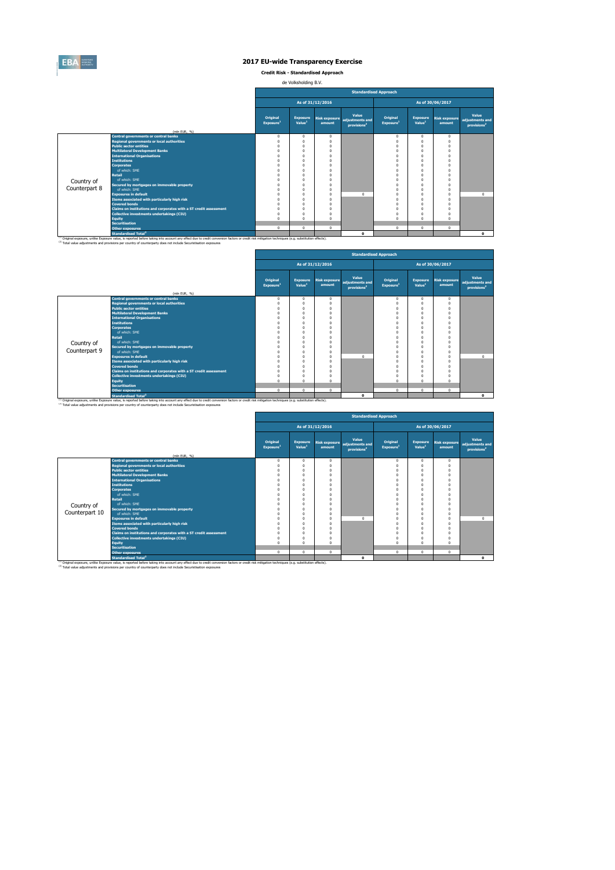

**Credit Risk - Standardised Approach**

de Volksholding B.V.

|               |                                                                                                                                                                                                    | <b>Standardised Approach</b>      |                                       |                                |                                                     |                                   |                                       |                                |                                                     |  |  |  |  |
|---------------|----------------------------------------------------------------------------------------------------------------------------------------------------------------------------------------------------|-----------------------------------|---------------------------------------|--------------------------------|-----------------------------------------------------|-----------------------------------|---------------------------------------|--------------------------------|-----------------------------------------------------|--|--|--|--|
|               |                                                                                                                                                                                                    |                                   |                                       | As of 31/12/2016               |                                                     |                                   |                                       | As of 30/06/2017               |                                                     |  |  |  |  |
|               |                                                                                                                                                                                                    | Original<br>Exposure <sup>1</sup> | <b>Exposure</b><br>Value <sup>1</sup> | <b>Risk exposure</b><br>amount | Value<br>adjustments and<br>provisions <sup>2</sup> | Original<br>Exposure <sup>1</sup> | <b>Exposure</b><br>Value <sup>1</sup> | <b>Risk exposure</b><br>amount | Value<br>adjustments and<br>provisions <sup>2</sup> |  |  |  |  |
|               | (mln EUR. %)                                                                                                                                                                                       |                                   |                                       |                                |                                                     |                                   |                                       |                                |                                                     |  |  |  |  |
|               | <b>Central governments or central banks</b><br><b>Regional governments or local authorities</b>                                                                                                    | $\Omega$<br>$\Omega$              | $\Omega$<br>$\Omega$                  | $\Omega$<br>$\Omega$           |                                                     | $\mathbf 0$<br>$\Omega$           | $\Omega$<br>O                         | $\Omega$<br>$\Omega$           |                                                     |  |  |  |  |
|               | <b>Public sector entities</b>                                                                                                                                                                      |                                   | $\Omega$                              | n                              |                                                     | $\Omega$                          |                                       | $\Omega$                       |                                                     |  |  |  |  |
|               | <b>Multilateral Development Banks</b>                                                                                                                                                              |                                   | $\Omega$                              | O                              |                                                     | $\Omega$                          |                                       | $\Omega$                       |                                                     |  |  |  |  |
|               | <b>International Organisations</b>                                                                                                                                                                 |                                   |                                       | n                              |                                                     | $\Omega$                          |                                       | $\Omega$                       |                                                     |  |  |  |  |
|               | <b>Institutions</b>                                                                                                                                                                                |                                   |                                       | n                              |                                                     | Ò                                 |                                       |                                |                                                     |  |  |  |  |
|               | <b>Corporates</b>                                                                                                                                                                                  |                                   |                                       | n                              |                                                     | $\Omega$                          |                                       | $\Omega$                       |                                                     |  |  |  |  |
|               | of which: SMF                                                                                                                                                                                      |                                   | n                                     | O                              |                                                     | $\Omega$                          |                                       |                                |                                                     |  |  |  |  |
|               | <b>Retail</b>                                                                                                                                                                                      |                                   |                                       | O                              |                                                     | $\Omega$                          |                                       | $\Omega$                       |                                                     |  |  |  |  |
| Country of    | of which: SMF                                                                                                                                                                                      |                                   | n                                     | O                              |                                                     | Ò                                 |                                       | $\Omega$                       |                                                     |  |  |  |  |
| Counterpart 8 | Secured by mortgages on immovable property                                                                                                                                                         |                                   |                                       | O                              |                                                     | $\Omega$                          |                                       | $\Omega$                       |                                                     |  |  |  |  |
|               | of which: SMF                                                                                                                                                                                      |                                   |                                       | $\Omega$                       |                                                     | $\Omega$                          |                                       | $\Omega$                       |                                                     |  |  |  |  |
|               | <b>Exposures in default</b>                                                                                                                                                                        |                                   |                                       | $\Omega$                       | $\Omega$                                            | $\Omega$                          |                                       | $\Omega$                       | $\Omega$                                            |  |  |  |  |
|               | Items associated with particularly high risk                                                                                                                                                       |                                   | $\Omega$                              | $\Omega$                       |                                                     | $\Omega$                          |                                       | $\Omega$                       |                                                     |  |  |  |  |
|               | <b>Covered bonds</b>                                                                                                                                                                               |                                   | n                                     | O                              |                                                     | $\Omega$                          |                                       | $\Omega$                       |                                                     |  |  |  |  |
|               | Claims on institutions and corporates with a ST credit assessment                                                                                                                                  |                                   | n                                     | O                              |                                                     | $\Omega$                          |                                       | $\Omega$                       |                                                     |  |  |  |  |
|               | Collective investments undertakings (CIU)                                                                                                                                                          |                                   | $\Omega$<br>$\Omega$                  | n                              |                                                     | $\Omega$<br>$\Omega$              |                                       | $\Omega$                       |                                                     |  |  |  |  |
|               | <b>Equity</b><br><b>Securitisation</b>                                                                                                                                                             |                                   |                                       | O                              |                                                     |                                   |                                       |                                |                                                     |  |  |  |  |
|               | <b>Other exposures</b>                                                                                                                                                                             | $\Omega$                          | $^{\circ}$                            | $\Omega$                       |                                                     | $^{\circ}$                        | $\Omega$                              | $\Omega$                       |                                                     |  |  |  |  |
|               | <b>Standardised Total<sup>2</sup></b>                                                                                                                                                              |                                   |                                       |                                | $\Omega$                                            |                                   |                                       |                                | $\Omega$                                            |  |  |  |  |
|               | (1) Original exposure, unlike Exposure value, is reported before taking into account any effect due to credit conversion factors or credit risk mitigation techniques (e.g. substitution effects). |                                   |                                       |                                |                                                     |                                   |                                       |                                |                                                     |  |  |  |  |
|               | (2) Total value adjustments and provisions per country of counterparty does not include Securistisation exposures                                                                                  |                                   |                                       |                                |                                                     |                                   |                                       |                                |                                                     |  |  |  |  |

|               |                                                                   | <b>Standardised Approach</b>      |                                       |                                |                                                     |                                   |                                       |                                |                                                     |  |  |  |  |
|---------------|-------------------------------------------------------------------|-----------------------------------|---------------------------------------|--------------------------------|-----------------------------------------------------|-----------------------------------|---------------------------------------|--------------------------------|-----------------------------------------------------|--|--|--|--|
|               |                                                                   |                                   |                                       | As of 31/12/2016               |                                                     |                                   |                                       | As of 30/06/2017               |                                                     |  |  |  |  |
|               | (mln EUR, %)                                                      | Original<br>Exposure <sup>1</sup> | <b>Exposure</b><br>Value <sup>1</sup> | <b>Risk exposure</b><br>amount | Value<br>adjustments and<br>provisions <sup>2</sup> | Original<br>Exposure <sup>1</sup> | <b>Exposure</b><br>Value <sup>1</sup> | <b>Risk exposure</b><br>amount | Value<br>adjustments and<br>provisions <sup>2</sup> |  |  |  |  |
|               | <b>Central governments or central banks</b>                       | $\mathbf{0}$                      | $^{\circ}$                            | 0                              |                                                     | $\mathbf{0}$                      | $\Omega$                              | $\mathbf{0}$                   |                                                     |  |  |  |  |
|               | <b>Regional governments or local authorities</b>                  | $\Omega$                          | $\Omega$                              |                                |                                                     | $\Omega$                          |                                       | $\Omega$                       |                                                     |  |  |  |  |
|               | <b>Public sector entities</b>                                     | $^{\circ}$                        | $\Omega$                              |                                |                                                     | $\Omega$                          |                                       | $\Omega$                       |                                                     |  |  |  |  |
|               | <b>Multilateral Development Banks</b>                             | $\Omega$                          | $\Omega$                              |                                |                                                     | $\Omega$                          |                                       |                                |                                                     |  |  |  |  |
|               | <b>International Organisations</b>                                | $\Omega$                          | $\Omega$                              |                                |                                                     | $\Omega$                          | $\Omega$                              |                                |                                                     |  |  |  |  |
|               | <b>Institutions</b>                                               | $\Omega$                          | $\Omega$                              |                                |                                                     | $\Omega$                          |                                       |                                |                                                     |  |  |  |  |
|               | <b>Corporates</b>                                                 | $\Omega$                          | $\Omega$                              |                                |                                                     | $\Omega$                          | $\Omega$                              | $\Omega$                       |                                                     |  |  |  |  |
|               | of which: SME                                                     | $\Omega$                          | $\Omega$                              |                                |                                                     | $\Omega$                          |                                       | $\Omega$                       |                                                     |  |  |  |  |
|               | <b>Retail</b>                                                     | $\Omega$                          | $\Omega$                              |                                |                                                     | $\Omega$                          | $\Omega$                              |                                |                                                     |  |  |  |  |
| Country of    | of which: SMF                                                     | $\Omega$                          | $\Omega$                              |                                |                                                     |                                   |                                       |                                |                                                     |  |  |  |  |
|               | Secured by mortgages on immovable property                        | $\Omega$                          | $\Omega$                              |                                |                                                     | O                                 |                                       |                                |                                                     |  |  |  |  |
| Counterpart 9 | of which: SME                                                     | $\Omega$                          | $\Omega$                              |                                |                                                     | $\Omega$                          |                                       | $\Omega$                       |                                                     |  |  |  |  |
|               | <b>Exposures in default</b>                                       | $\Omega$                          | $\Omega$                              |                                | $\Omega$                                            | $\Omega$                          |                                       | $\Omega$                       | $^{\circ}$                                          |  |  |  |  |
|               | Items associated with particularly high risk                      | $\Omega$                          | $\Omega$                              |                                |                                                     | $\Omega$                          |                                       |                                |                                                     |  |  |  |  |
|               | <b>Covered bonds</b>                                              | $\Omega$                          | $\Omega$                              |                                |                                                     | 0                                 |                                       |                                |                                                     |  |  |  |  |
|               | Claims on institutions and corporates with a ST credit assessment | $\Omega$                          | $\Omega$                              |                                |                                                     | $\Omega$                          | $\Omega$                              | $\Omega$                       |                                                     |  |  |  |  |
|               | Collective investments undertakings (CIU)                         | $^{\circ}$                        | $\Omega$                              |                                |                                                     | $\Omega$                          |                                       |                                |                                                     |  |  |  |  |
|               | <b>Equity</b>                                                     | $\Omega$                          | $\Omega$                              |                                |                                                     | $\Omega$                          | $\Omega$                              | $\Omega$                       |                                                     |  |  |  |  |
|               | <b>Securitisation</b>                                             |                                   |                                       |                                |                                                     |                                   |                                       |                                |                                                     |  |  |  |  |
|               | <b>Other exposures</b>                                            | $\Omega$                          | $\Omega$                              | 0                              |                                                     | $\Omega$                          | $\Omega$                              | $\Omega$                       |                                                     |  |  |  |  |
|               | <b>Standardised Total<sup>2</sup></b>                             |                                   |                                       |                                | $\mathbf{0}$                                        |                                   |                                       |                                | $\mathbf{0}$                                        |  |  |  |  |

<sup>10</sup> Original exposure, unlike Exposure Total of Total Total Total Count any effect due to credit conversion factors or credit risk mitigation techniques (e.g. substitution effects).<br><sup>21</sup> Total value adjustments and provis

|                |                                                                                                                                                                                                                                                                                                                                    | <b>Standardised Approach</b>      |                                       |                  |                                                                   |                                   |                                       |                                |                                                     |  |  |  |  |
|----------------|------------------------------------------------------------------------------------------------------------------------------------------------------------------------------------------------------------------------------------------------------------------------------------------------------------------------------------|-----------------------------------|---------------------------------------|------------------|-------------------------------------------------------------------|-----------------------------------|---------------------------------------|--------------------------------|-----------------------------------------------------|--|--|--|--|
|                |                                                                                                                                                                                                                                                                                                                                    |                                   |                                       | As of 31/12/2016 |                                                                   |                                   |                                       | As of 30/06/2017               |                                                     |  |  |  |  |
|                | (mln EUR, %)                                                                                                                                                                                                                                                                                                                       | Original<br>Exposure <sup>1</sup> | <b>Exposure</b><br>Value <sup>1</sup> | amount           | Value<br>Risk exposure adjustments and<br>provisions <sup>2</sup> | Original<br>Exposure <sup>1</sup> | <b>Exposure</b><br>Value <sup>1</sup> | <b>Risk exposure</b><br>amount | Value<br>adjustments and<br>provisions <sup>2</sup> |  |  |  |  |
|                | <b>Central governments or central banks</b>                                                                                                                                                                                                                                                                                        | $^{\circ}$                        | $^{\circ}$                            | $^{\circ}$       |                                                                   | $^{\circ}$                        | $^{\circ}$                            | $^{\circ}$                     |                                                     |  |  |  |  |
|                | <b>Regional governments or local authorities</b>                                                                                                                                                                                                                                                                                   | $\Omega$                          | O                                     | $\Omega$         |                                                                   | $\Omega$                          | $\Omega$                              | $\Omega$                       |                                                     |  |  |  |  |
|                | <b>Public sector entities</b>                                                                                                                                                                                                                                                                                                      | 0                                 | O                                     |                  |                                                                   | $\Omega$                          | $\Omega$                              | $\Omega$                       |                                                     |  |  |  |  |
|                | <b>Multilateral Development Banks</b>                                                                                                                                                                                                                                                                                              | O                                 | O                                     |                  |                                                                   | $\Omega$                          | $\Omega$                              | $\Omega$                       |                                                     |  |  |  |  |
|                | <b>International Organisations</b>                                                                                                                                                                                                                                                                                                 | O                                 | O                                     |                  |                                                                   | $\Omega$                          | $\Omega$                              | C                              |                                                     |  |  |  |  |
|                | <b>Institutions</b>                                                                                                                                                                                                                                                                                                                | O                                 | O                                     |                  |                                                                   | $\Omega$                          | $\Omega$                              | $\Omega$                       |                                                     |  |  |  |  |
|                | <b>Corporates</b>                                                                                                                                                                                                                                                                                                                  | O                                 | O                                     |                  |                                                                   | $\Omega$                          | $\Omega$                              | £                              |                                                     |  |  |  |  |
|                | of which: SME                                                                                                                                                                                                                                                                                                                      | n                                 |                                       |                  |                                                                   |                                   | $\Omega$                              |                                |                                                     |  |  |  |  |
|                | Retail                                                                                                                                                                                                                                                                                                                             | O                                 | O                                     |                  |                                                                   | $\Omega$                          | $\Omega$                              | $\Omega$                       |                                                     |  |  |  |  |
| Country of     | of which: SMF                                                                                                                                                                                                                                                                                                                      | O                                 | O                                     |                  |                                                                   | $\Omega$                          | $\Omega$                              | $\Omega$                       |                                                     |  |  |  |  |
| Counterpart 10 | Secured by mortgages on immovable property                                                                                                                                                                                                                                                                                         | O                                 | O                                     |                  |                                                                   | $\Omega$                          | $\Omega$                              | £                              |                                                     |  |  |  |  |
|                | of which: SME                                                                                                                                                                                                                                                                                                                      | O                                 | O                                     |                  |                                                                   | $\Omega$                          | $\Omega$                              | $\Omega$                       |                                                     |  |  |  |  |
|                | <b>Exposures in default</b>                                                                                                                                                                                                                                                                                                        | Ō                                 | O                                     |                  | $\Omega$                                                          | $\Omega$                          | $\Omega$                              | $\Omega$                       | $\Omega$                                            |  |  |  |  |
|                | Items associated with particularly high risk                                                                                                                                                                                                                                                                                       | O                                 |                                       |                  |                                                                   | $\Omega$                          | $\Omega$                              |                                |                                                     |  |  |  |  |
|                | <b>Covered bonds</b>                                                                                                                                                                                                                                                                                                               | O                                 | O                                     | $\Omega$         |                                                                   | $\Omega$                          | $\Omega$                              | $\Omega$                       |                                                     |  |  |  |  |
|                | Claims on institutions and corporates with a ST credit assessment                                                                                                                                                                                                                                                                  | O<br>$\Omega$                     | O                                     |                  |                                                                   | $\Omega$                          | $\Omega$<br>$\Omega$                  | $\Omega$                       |                                                     |  |  |  |  |
|                | Collective investments undertakings (CIU)                                                                                                                                                                                                                                                                                          |                                   | O                                     |                  |                                                                   | $\Omega$                          |                                       |                                |                                                     |  |  |  |  |
|                | <b>Equity</b><br><b>Securitisation</b>                                                                                                                                                                                                                                                                                             | $\Omega$                          | $\theta$                              |                  |                                                                   | $\Omega$                          | $\Omega$                              | $\Omega$                       |                                                     |  |  |  |  |
|                |                                                                                                                                                                                                                                                                                                                                    | $^{\circ}$                        | $\mathbf{0}$                          | $\Omega$         |                                                                   | $^{\circ}$                        | $\Omega$                              | $\mathbf 0$                    |                                                     |  |  |  |  |
|                | <b>Other exposures</b>                                                                                                                                                                                                                                                                                                             |                                   |                                       |                  |                                                                   |                                   |                                       |                                |                                                     |  |  |  |  |
|                | <b>Standardised Total<sup>2</sup></b>                                                                                                                                                                                                                                                                                              |                                   |                                       |                  | $\Omega$                                                          |                                   |                                       |                                | $\mathbf 0$                                         |  |  |  |  |
|                | <sup>(1)</sup> Original exposure, unlike Exposure value, is reported before taking into account any effect due to credit conversion factors or credit risk mitigation techniques (e.g. substitution effects).<br>(2) Total value adjustments and provisions per country of counterparty does not include Securistisation exposures |                                   |                                       |                  |                                                                   |                                   |                                       |                                |                                                     |  |  |  |  |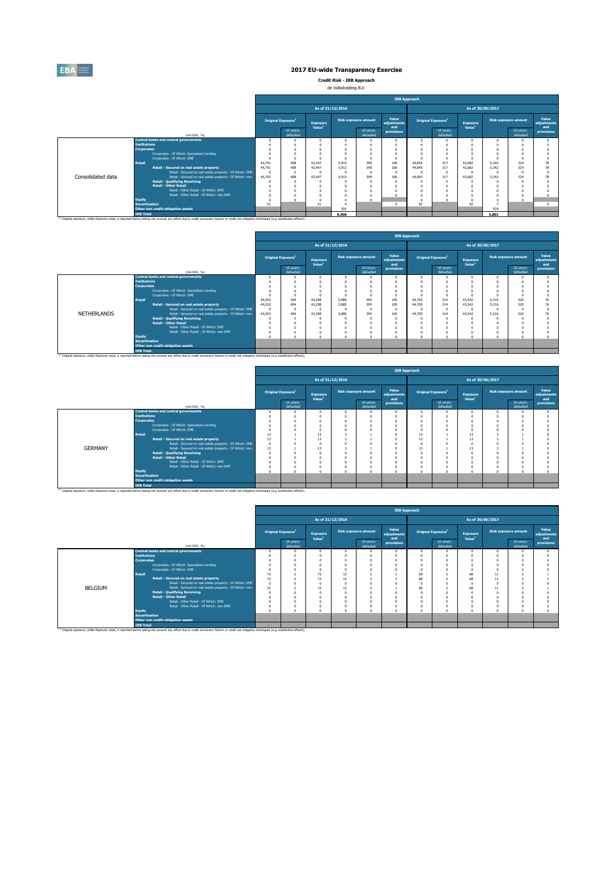

**Credit Risk - IRB Approach** de Volksholding B.V.

|                   |                                                                                                                                                                                                    |                                                                                                                                                                                                                                                                                                                                                                                                                                                                                                                                                                                                                                                                                                                                                                                   |  |    |                  |   | <b>IRB Approach</b> |          |                          |                  |  |  |            |  |
|-------------------|----------------------------------------------------------------------------------------------------------------------------------------------------------------------------------------------------|-----------------------------------------------------------------------------------------------------------------------------------------------------------------------------------------------------------------------------------------------------------------------------------------------------------------------------------------------------------------------------------------------------------------------------------------------------------------------------------------------------------------------------------------------------------------------------------------------------------------------------------------------------------------------------------------------------------------------------------------------------------------------------------|--|----|------------------|---|---------------------|----------|--------------------------|------------------|--|--|------------|--|
|                   |                                                                                                                                                                                                    |                                                                                                                                                                                                                                                                                                                                                                                                                                                                                                                                                                                                                                                                                                                                                                                   |  |    | As of 31/12/2016 |   |                     |          |                          | As of 30/06/2017 |  |  |            |  |
|                   |                                                                                                                                                                                                    | Value<br>Value<br><b>Risk exposure amount</b><br><b>Risk exposure amount</b><br>Original Exposure <sup>1</sup><br>Original Exposure <sup>1</sup><br><b>Exposure</b><br><b>Exposure</b><br>adjustments<br>adiustments<br>Value <sup>1</sup><br>Value <sup>1</sup><br>and<br>and<br>Of which:<br>Of which:<br>Of which:<br>Of which:<br>provisions<br>defaulted<br>defaulted<br>defaulted<br>defaulted<br>$\Omega$<br>$\Omega$<br>$\Omega$<br>$\Omega$<br>399<br>408<br>106<br>324<br>44.701<br>317<br>43.447<br>5.913<br>44.845<br>43.682<br>5.342<br>399<br>106<br>408<br>5.913<br>317<br>43.682<br>324<br>44,701<br>43,447<br>44,845<br>5.342<br>$\theta$<br>$\theta$<br>$\sqrt{2}$<br>399<br>106<br>408<br>317<br>324<br>44,701<br>43,447<br>5.913<br>44,845<br>43,682<br>5.342 |  |    |                  |   |                     |          |                          |                  |  |  |            |  |
|                   | (mln EUR, %)                                                                                                                                                                                       |                                                                                                                                                                                                                                                                                                                                                                                                                                                                                                                                                                                                                                                                                                                                                                                   |  |    |                  |   |                     |          |                          |                  |  |  | provisions |  |
|                   | <b>Central banks and central governments</b>                                                                                                                                                       |                                                                                                                                                                                                                                                                                                                                                                                                                                                                                                                                                                                                                                                                                                                                                                                   |  |    |                  |   |                     |          |                          |                  |  |  |            |  |
|                   | <b>Institutions</b>                                                                                                                                                                                |                                                                                                                                                                                                                                                                                                                                                                                                                                                                                                                                                                                                                                                                                                                                                                                   |  |    |                  |   |                     |          |                          |                  |  |  |            |  |
|                   | <b>Corporates</b>                                                                                                                                                                                  |                                                                                                                                                                                                                                                                                                                                                                                                                                                                                                                                                                                                                                                                                                                                                                                   |  |    |                  |   |                     |          |                          |                  |  |  |            |  |
|                   | Corporates - Of Which: Specialised Lending                                                                                                                                                         |                                                                                                                                                                                                                                                                                                                                                                                                                                                                                                                                                                                                                                                                                                                                                                                   |  |    |                  |   |                     |          |                          |                  |  |  |            |  |
|                   | Corporates - Of Which: SME                                                                                                                                                                         |                                                                                                                                                                                                                                                                                                                                                                                                                                                                                                                                                                                                                                                                                                                                                                                   |  |    |                  |   |                     |          |                          |                  |  |  |            |  |
|                   | <b>Retail</b>                                                                                                                                                                                      |                                                                                                                                                                                                                                                                                                                                                                                                                                                                                                                                                                                                                                                                                                                                                                                   |  |    |                  |   |                     |          |                          |                  |  |  |            |  |
|                   | Retail - Secured on real estate property                                                                                                                                                           |                                                                                                                                                                                                                                                                                                                                                                                                                                                                                                                                                                                                                                                                                                                                                                                   |  |    |                  |   |                     |          |                          |                  |  |  |            |  |
|                   | Retail - Secured on real estate property - Of Which: SME                                                                                                                                           |                                                                                                                                                                                                                                                                                                                                                                                                                                                                                                                                                                                                                                                                                                                                                                                   |  |    |                  |   |                     |          |                          |                  |  |  |            |  |
| Consolidated data | Retail - Secured on real estate property - Of Which: non-                                                                                                                                          |                                                                                                                                                                                                                                                                                                                                                                                                                                                                                                                                                                                                                                                                                                                                                                                   |  |    |                  |   |                     |          |                          |                  |  |  |            |  |
|                   | <b>Retail - Qualifying Revolving</b>                                                                                                                                                               |                                                                                                                                                                                                                                                                                                                                                                                                                                                                                                                                                                                                                                                                                                                                                                                   |  |    |                  | n | $\theta$            |          |                          |                  |  |  |            |  |
|                   | <b>Retail - Other Retail</b>                                                                                                                                                                       |                                                                                                                                                                                                                                                                                                                                                                                                                                                                                                                                                                                                                                                                                                                                                                                   |  |    |                  |   | $\Omega$            |          |                          |                  |  |  |            |  |
|                   | Retail - Other Retail - Of Which: SME                                                                                                                                                              |                                                                                                                                                                                                                                                                                                                                                                                                                                                                                                                                                                                                                                                                                                                                                                                   |  |    |                  |   | $\Omega$            |          |                          |                  |  |  |            |  |
|                   | Retail - Other Retail - Of Which: non-SME                                                                                                                                                          |                                                                                                                                                                                                                                                                                                                                                                                                                                                                                                                                                                                                                                                                                                                                                                                   |  |    |                  |   |                     | $\Omega$ |                          |                  |  |  |            |  |
|                   | <b>Equity</b>                                                                                                                                                                                      |                                                                                                                                                                                                                                                                                                                                                                                                                                                                                                                                                                                                                                                                                                                                                                                   |  |    |                  | n |                     |          |                          |                  |  |  |            |  |
|                   | <b>Securitisation</b>                                                                                                                                                                              | 51                                                                                                                                                                                                                                                                                                                                                                                                                                                                                                                                                                                                                                                                                                                                                                                |  | 51 |                  |   | $\Omega$            |          |                          |                  |  |  | $\Omega$   |  |
|                   | Other non credit-obligation assets                                                                                                                                                                 |                                                                                                                                                                                                                                                                                                                                                                                                                                                                                                                                                                                                                                                                                                                                                                                   |  |    | 591              |   |                     |          | 92<br>92<br>534<br>5,883 |                  |  |  |            |  |
|                   | <b>IRB Total</b>                                                                                                                                                                                   |                                                                                                                                                                                                                                                                                                                                                                                                                                                                                                                                                                                                                                                                                                                                                                                   |  |    | 6,508            |   |                     |          |                          |                  |  |  |            |  |
|                   | (1) Original exposure, unlike Exposure value, is reported before taking into account any effect due to credit conversion factors or credit risk mitigation techniques (e.g. substitution effects). |                                                                                                                                                                                                                                                                                                                                                                                                                                                                                                                                                                                                                                                                                                                                                                                   |  |    |                  |   |                     |          |                          |                  |  |  |            |  |

|                    |                       |                                                                                                                                                                                                               |                                       |                        |                                       |                  |                             | <b>IRB Approach</b>                                                                                                                                                                                                                                                                                                                                                                                                                                                            |  |  |          |  |  |                             |
|--------------------|-----------------------|---------------------------------------------------------------------------------------------------------------------------------------------------------------------------------------------------------------|---------------------------------------|------------------------|---------------------------------------|------------------|-----------------------------|--------------------------------------------------------------------------------------------------------------------------------------------------------------------------------------------------------------------------------------------------------------------------------------------------------------------------------------------------------------------------------------------------------------------------------------------------------------------------------|--|--|----------|--|--|-----------------------------|
|                    |                       |                                                                                                                                                                                                               |                                       |                        |                                       | As of 31/12/2016 |                             |                                                                                                                                                                                                                                                                                                                                                                                                                                                                                |  |  |          |  |  |                             |
|                    |                       |                                                                                                                                                                                                               | <b>Original Exposure</b> <sup>1</sup> |                        | <b>Exposure</b><br>Value <sup>1</sup> |                  | <b>Risk exposure amount</b> | Value<br>adjustments                                                                                                                                                                                                                                                                                                                                                                                                                                                           |  |  | Exposure |  |  | Value<br>adjustments<br>and |
|                    |                       | (mln EUR. %)                                                                                                                                                                                                  |                                       | Of which:<br>defaulted |                                       |                  | Of which:<br>defaulted      | As of 30/06/2017<br><b>Risk exposure amount</b><br>Original Exposure <sup>1</sup><br>Value <sup>1</sup><br>and<br>Of which:<br>Of which:<br>provisions<br>provisions<br>defaulted<br>defaulted<br>$\Omega$<br>$\theta$<br>$\Omega$<br>$\theta$<br>105<br>320<br>44,705<br>314<br>43.542<br>5.316<br>105<br>44,705<br>320<br>314<br>43.542<br>5.316<br>$\Omega$<br>$\sqrt{2}$<br>105<br>44,705<br>320<br>314<br>43.542<br>5.316<br>$\theta$<br>$\Omega$<br>$\theta$<br>$\Omega$ |  |  |          |  |  |                             |
|                    |                       | <b>Central banks and central governments</b>                                                                                                                                                                  |                                       |                        |                                       |                  |                             |                                                                                                                                                                                                                                                                                                                                                                                                                                                                                |  |  |          |  |  |                             |
|                    | <b>Institutions</b>   |                                                                                                                                                                                                               |                                       |                        |                                       |                  |                             |                                                                                                                                                                                                                                                                                                                                                                                                                                                                                |  |  |          |  |  |                             |
|                    | <b>Corporates</b>     |                                                                                                                                                                                                               |                                       |                        |                                       |                  |                             |                                                                                                                                                                                                                                                                                                                                                                                                                                                                                |  |  |          |  |  |                             |
|                    |                       | Corporates - Of Which: Specialised Lending                                                                                                                                                                    |                                       |                        |                                       |                  |                             |                                                                                                                                                                                                                                                                                                                                                                                                                                                                                |  |  |          |  |  |                             |
|                    |                       | Corporates - Of Which: SME                                                                                                                                                                                    |                                       |                        |                                       |                  |                             |                                                                                                                                                                                                                                                                                                                                                                                                                                                                                |  |  |          |  |  |                             |
|                    | <b>Retail</b>         |                                                                                                                                                                                                               | 44.552                                | 404                    | 43.298                                | 5.885            | 395                         |                                                                                                                                                                                                                                                                                                                                                                                                                                                                                |  |  |          |  |  |                             |
|                    |                       | Retail - Secured on real estate property                                                                                                                                                                      | 44.552                                | 404                    | 43.298                                | 5.885            | 395                         |                                                                                                                                                                                                                                                                                                                                                                                                                                                                                |  |  |          |  |  |                             |
|                    |                       | Retail - Secured on real estate property - Of Which: SME                                                                                                                                                      | - O                                   |                        |                                       |                  | n                           |                                                                                                                                                                                                                                                                                                                                                                                                                                                                                |  |  |          |  |  |                             |
| <b>NETHERLANDS</b> |                       | Retail - Secured on real estate property - Of Which: non-                                                                                                                                                     | 44,552                                | 404                    | 43,298                                | 5,885            | 395                         |                                                                                                                                                                                                                                                                                                                                                                                                                                                                                |  |  |          |  |  |                             |
|                    |                       | <b>Retail - Qualifying Revolving</b>                                                                                                                                                                          |                                       |                        |                                       |                  | n                           |                                                                                                                                                                                                                                                                                                                                                                                                                                                                                |  |  |          |  |  |                             |
|                    |                       | <b>Retail - Other Retail</b>                                                                                                                                                                                  |                                       |                        |                                       |                  |                             |                                                                                                                                                                                                                                                                                                                                                                                                                                                                                |  |  |          |  |  |                             |
|                    |                       | Retail - Other Retail - Of Which: SME                                                                                                                                                                         |                                       |                        |                                       |                  |                             |                                                                                                                                                                                                                                                                                                                                                                                                                                                                                |  |  |          |  |  |                             |
|                    |                       | Retail - Other Retail - Of Which: non-SME                                                                                                                                                                     |                                       |                        |                                       |                  |                             |                                                                                                                                                                                                                                                                                                                                                                                                                                                                                |  |  |          |  |  |                             |
|                    | Equity                |                                                                                                                                                                                                               |                                       |                        |                                       |                  |                             |                                                                                                                                                                                                                                                                                                                                                                                                                                                                                |  |  |          |  |  |                             |
|                    | <b>Securitisation</b> |                                                                                                                                                                                                               |                                       |                        |                                       |                  |                             |                                                                                                                                                                                                                                                                                                                                                                                                                                                                                |  |  |          |  |  |                             |
|                    |                       | Other non credit-obligation assets                                                                                                                                                                            |                                       |                        |                                       |                  |                             |                                                                                                                                                                                                                                                                                                                                                                                                                                                                                |  |  |          |  |  |                             |
|                    | <b>IRB Total</b>      |                                                                                                                                                                                                               |                                       |                        |                                       |                  |                             |                                                                                                                                                                                                                                                                                                                                                                                                                                                                                |  |  |          |  |  |                             |
|                    |                       | <sup>(3)</sup> Original exposure, unlike Exposure value, is reported before taking into account any effect due to credit conversion factors or credit risk mitigation techniques (e.g. substitution effects). |                                       |                        |                                       |                  |                             |                                                                                                                                                                                                                                                                                                                                                                                                                                                                                |  |  |          |  |  |                             |

|                |                       |                                                                                                                                                                                                     |          |                                |                                       |                  |                             | <b>IRB Approach</b>  |          |                                |                                       |                             |                        |                             |
|----------------|-----------------------|-----------------------------------------------------------------------------------------------------------------------------------------------------------------------------------------------------|----------|--------------------------------|---------------------------------------|------------------|-----------------------------|----------------------|----------|--------------------------------|---------------------------------------|-----------------------------|------------------------|-----------------------------|
|                |                       |                                                                                                                                                                                                     |          |                                |                                       | As of 31/12/2016 |                             |                      |          |                                |                                       | As of 30/06/2017            |                        |                             |
|                |                       |                                                                                                                                                                                                     |          | Original Exposure <sup>1</sup> | <b>Exposure</b><br>Value <sup>1</sup> |                  | <b>Risk exposure amount</b> | Value<br>adjustments |          | Original Exposure <sup>1</sup> | <b>Exposure</b><br>Value <sup>1</sup> | <b>Risk exposure amount</b> |                        | Value<br>adjustments<br>and |
|                |                       | (min EUR, %)                                                                                                                                                                                        |          | Of which:<br>defaulted         |                                       |                  | Of which:<br>defaulted      | and<br>provisions    |          | Of which:<br>defaulted         |                                       |                             | Of which:<br>defaulted | provisions                  |
|                |                       | <b>Central banks and central governments</b>                                                                                                                                                        |          |                                |                                       |                  |                             |                      | $\Omega$ |                                | $\Omega$                              |                             |                        |                             |
|                | <b>Institutions</b>   |                                                                                                                                                                                                     |          |                                |                                       |                  |                             |                      | $\Omega$ |                                |                                       |                             |                        |                             |
|                | <b>Corporates</b>     |                                                                                                                                                                                                     |          |                                |                                       |                  |                             |                      | $\Omega$ |                                |                                       |                             |                        |                             |
|                |                       | Corporates - Of Which: Specialised Lending                                                                                                                                                          |          |                                |                                       |                  |                             |                      | $\Omega$ |                                |                                       |                             |                        |                             |
|                |                       | Corporates - Of Which: SME                                                                                                                                                                          |          |                                |                                       |                  |                             |                      | $\Omega$ |                                |                                       |                             |                        |                             |
|                | Retail                |                                                                                                                                                                                                     | 13       |                                | 13                                    |                  |                             |                      | 13       |                                | 13                                    |                             |                        |                             |
|                |                       | Retail - Secured on real estate property                                                                                                                                                            | 13       |                                | 13                                    |                  |                             |                      | 13       |                                |                                       |                             |                        |                             |
|                |                       | Retail - Secured on real estate property - Of Which: SME                                                                                                                                            | $\Omega$ |                                |                                       |                  |                             |                      | $\Omega$ |                                |                                       |                             |                        |                             |
| <b>GERMANY</b> |                       | Retail - Secured on real estate property - Of Which: non-                                                                                                                                           | 13       |                                | 13                                    |                  |                             |                      | 13       |                                |                                       |                             |                        |                             |
|                |                       | <b>Retail - Qualifying Revolving</b>                                                                                                                                                                |          |                                |                                       |                  |                             |                      | $\Omega$ |                                |                                       |                             |                        |                             |
|                |                       | <b>Retail - Other Retail</b>                                                                                                                                                                        |          |                                |                                       |                  |                             |                      |          |                                |                                       |                             |                        |                             |
|                |                       | Retail - Other Retail - Of Which: SME                                                                                                                                                               |          |                                |                                       |                  |                             |                      | $\Omega$ |                                |                                       |                             |                        |                             |
|                |                       | Retail - Other Retail - Of Which: non-SME                                                                                                                                                           |          |                                |                                       |                  |                             |                      | $\Omega$ |                                |                                       |                             |                        |                             |
|                | Equity                |                                                                                                                                                                                                     |          |                                |                                       |                  |                             |                      | $\Omega$ |                                |                                       |                             |                        |                             |
|                | <b>Securitisation</b> |                                                                                                                                                                                                     |          |                                |                                       |                  |                             |                      |          |                                |                                       |                             |                        |                             |
|                |                       | Other non credit-obligation assets                                                                                                                                                                  |          |                                |                                       |                  |                             |                      |          |                                | 13<br>13                              |                             |                        |                             |
|                | <b>IRB Total</b>      |                                                                                                                                                                                                     |          |                                |                                       |                  |                             |                      |          |                                |                                       |                             |                        |                             |
|                |                       | (ii) Original exposure, unlike Exposure value, is reported before taking into account any effect due to credit conversion factors or credit risk mitigation techniques (e.g. substitution effects). |          |                                |                                       |                  |                             |                      |          |                                |                                       |                             |                        |                             |

|         |                       |                                                           | <b>IRB Approach</b> |                                |                                       |                  |                             |                             |                                |                        |                                       |                             |                        |                             |
|---------|-----------------------|-----------------------------------------------------------|---------------------|--------------------------------|---------------------------------------|------------------|-----------------------------|-----------------------------|--------------------------------|------------------------|---------------------------------------|-----------------------------|------------------------|-----------------------------|
|         |                       |                                                           |                     |                                |                                       | As of 31/12/2016 |                             |                             |                                |                        | As of 30/06/2017                      |                             |                        |                             |
|         |                       |                                                           |                     | Original Exposure <sup>1</sup> | <b>Exposure</b><br>Value <sup>1</sup> |                  | <b>Risk exposure amount</b> | Value<br>adjustments<br>and | Original Exposure <sup>1</sup> |                        | <b>Exposure</b><br>Value <sup>1</sup> | <b>Risk exposure amount</b> |                        | Value<br>adjustments<br>and |
|         |                       | (min EUR, %)                                              |                     | Of which:<br>defaulted         |                                       |                  | Of which:<br>defaulted      | provisions                  |                                | Of which:<br>defaulted |                                       |                             | Of which:<br>defaulted | provisions                  |
|         |                       | <b>Central banks and central governments</b>              |                     |                                | n                                     |                  | n                           |                             |                                |                        | $\Omega$                              |                             |                        |                             |
|         | <b>Institutions</b>   |                                                           |                     |                                |                                       |                  |                             |                             |                                |                        |                                       |                             |                        |                             |
|         | <b>Corporates</b>     |                                                           |                     |                                |                                       |                  | n                           |                             |                                |                        |                                       |                             |                        |                             |
|         |                       | Corporates - Of Which: Specialised Lending                |                     |                                |                                       |                  | n                           |                             |                                |                        |                                       |                             |                        |                             |
|         |                       | Corporates - Of Which: SME                                |                     |                                |                                       |                  |                             |                             |                                |                        |                                       |                             |                        |                             |
|         | <b>Retail</b>         |                                                           | 72                  |                                | 72                                    | 12               |                             |                             | 68                             |                        | 68                                    |                             |                        |                             |
|         |                       | Retail - Secured on real estate property                  | 72                  |                                | 72                                    | 12               |                             |                             | 68                             |                        | 68                                    | 11                          |                        |                             |
|         |                       | Retail - Secured on real estate property - Of Which: SME  | $\Omega$            |                                |                                       |                  |                             |                             |                                |                        |                                       |                             |                        |                             |
| BELGIUM |                       | Retail - Secured on real estate property - Of Which: non- | 72                  |                                | 72                                    | 12               |                             |                             | 68                             |                        | 68                                    |                             |                        |                             |
|         |                       | <b>Retail - Qualifying Revolving</b>                      |                     |                                |                                       |                  |                             |                             |                                |                        |                                       |                             |                        |                             |
|         |                       | <b>Retail - Other Retail</b>                              |                     |                                |                                       |                  |                             |                             |                                |                        |                                       |                             |                        |                             |
|         |                       | Retail - Other Retail - Of Which: SME                     |                     |                                |                                       |                  | $\theta$                    |                             |                                |                        | $\Omega$                              |                             |                        |                             |
|         |                       | Retail - Other Retail - Of Which: non-SME                 |                     |                                |                                       |                  | n                           |                             |                                |                        |                                       |                             |                        |                             |
|         | <b>Equity</b>         |                                                           |                     |                                |                                       |                  | $\theta$                    |                             |                                |                        |                                       |                             |                        |                             |
|         | <b>Securitisation</b> |                                                           |                     |                                |                                       |                  |                             |                             |                                |                        |                                       |                             |                        |                             |
|         |                       | Other non credit-obligation assets                        |                     |                                |                                       |                  |                             |                             |                                |                        |                                       |                             |                        |                             |
|         | <b>IRB Total</b>      |                                                           |                     |                                |                                       |                  |                             |                             |                                |                        |                                       |                             |                        |                             |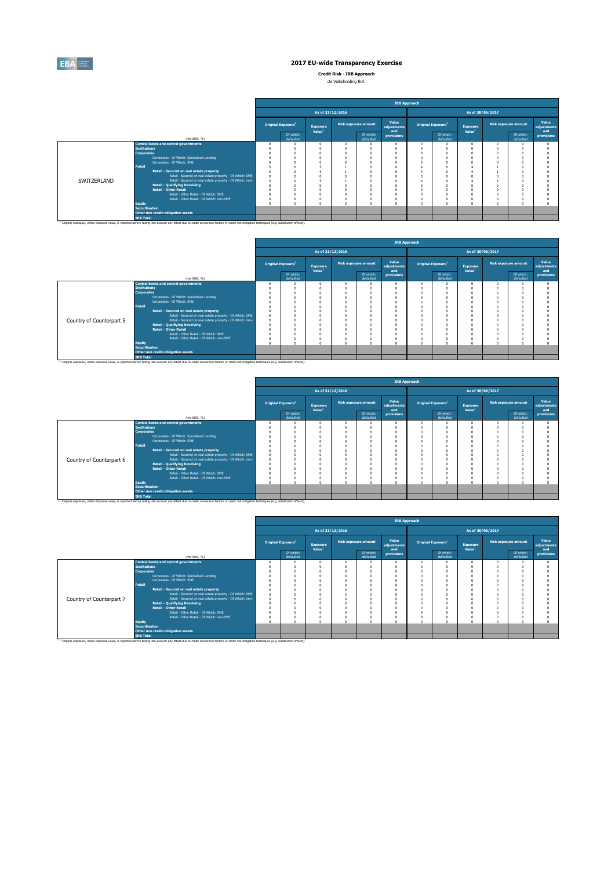

**Credit Risk - IRB Approach**

| de Volksholding B.V. |  |
|----------------------|--|
|                      |  |

|             |                                                                                                                                                                                                                                                                                                         |                                |                    |                             |                           | <b>IRB Approach</b>  |                                                           |                                |                    |                             |                      |
|-------------|---------------------------------------------------------------------------------------------------------------------------------------------------------------------------------------------------------------------------------------------------------------------------------------------------------|--------------------------------|--------------------|-----------------------------|---------------------------|----------------------|-----------------------------------------------------------|--------------------------------|--------------------|-----------------------------|----------------------|
|             |                                                                                                                                                                                                                                                                                                         |                                | As of 31/12/2016   |                             |                           |                      |                                                           |                                | As of 30/06/2017   |                             |                      |
|             |                                                                                                                                                                                                                                                                                                         | Original Exposure <sup>1</sup> | <b>Exposure</b>    | <b>Risk exposure amount</b> |                           | Value<br>adiustments |                                                           | Original Exposure <sup>1</sup> | <b>Exposure</b>    | <b>Risk exposure amount</b> | Value<br>adiustments |
|             | (mln EUR, %)                                                                                                                                                                                                                                                                                            | Of which:<br>defaulted         | Value <sup>1</sup> |                             | Of which:<br>defaulted    | and<br>provisions    |                                                           | Of which:<br>defaulted         | Value <sup>1</sup> | Of which:<br>defaulted      | and<br>provisions    |
|             | <b>Central banks and central governments</b><br><b>Institutions</b><br><b>Corporates</b><br>Corporates - Of Which: Specialised Lending<br>Corporates - Of Which: SME<br>Retail<br>Retail - Secured on real estate property<br>Retail - Secured on real estate property - Of Which: SME                  |                                |                    |                             | n                         |                      | $\Omega$<br>$\Omega$<br>O<br>$\theta$<br>n<br>4<br>4<br>n | $\Omega$                       |                    |                             |                      |
| SWITZERLAND | Retail - Secured on real estate property - Of Which: non-<br><b>Retail - Qualifying Revolving</b><br><b>Retail - Other Retail</b><br>Retail - Other Retail - Of Which: SME<br>Retail - Other Retail - Of Which: non-SME<br><b>Equity</b><br><b>Securitisation</b><br>Other non credit-obligation assets |                                |                    |                             | n<br>$\Omega$<br>$\theta$ |                      | O<br>O<br>$\theta$<br>0<br>$\Omega$                       | 0<br>$\sqrt{2}$                |                    |                             |                      |
|             | <b>IRB Total</b><br>(1) Original exposure, unlike Exposure value, is reported before taking into account any effect due to credit conversion factors or credit risk mitigation techniques (e.g. substitution effects).                                                                                  |                                |                    |                             |                           |                      |                                                           |                                |                    |                             |                      |

|                          |                       |                                                                                                                                                                                                    |                                |                                       | As of 31/12/2016 |                        |                      |                                                                                                                                                                                           |  |                 |  |                             |
|--------------------------|-----------------------|----------------------------------------------------------------------------------------------------------------------------------------------------------------------------------------------------|--------------------------------|---------------------------------------|------------------|------------------------|----------------------|-------------------------------------------------------------------------------------------------------------------------------------------------------------------------------------------|--|-----------------|--|-----------------------------|
|                          |                       |                                                                                                                                                                                                    | Original Exposure <sup>1</sup> | <b>Exposure</b><br>Value <sup>1</sup> |                  | Risk exposure amount   | Value<br>adjustments |                                                                                                                                                                                           |  | <b>Exposure</b> |  | Value<br>adjustments<br>and |
|                          |                       | (mln EUR, %)                                                                                                                                                                                       | Of which:<br>defaulted         |                                       |                  | Of which:<br>defaulted | provisions           | <b>IRB Approach</b><br>As of 30/06/2017<br><b>Risk exposure amount</b><br>Original Exposure <sup>1</sup><br>Value <sup>1</sup><br>and<br>Of which:<br>Of which:<br>defaulted<br>defaulted |  | provisions      |  |                             |
|                          |                       | <b>Central banks and central governments</b>                                                                                                                                                       |                                |                                       |                  |                        |                      |                                                                                                                                                                                           |  |                 |  |                             |
|                          | <b>Institutions</b>   |                                                                                                                                                                                                    |                                |                                       |                  |                        |                      |                                                                                                                                                                                           |  |                 |  |                             |
|                          | <b>Corporates</b>     |                                                                                                                                                                                                    |                                |                                       |                  |                        |                      |                                                                                                                                                                                           |  |                 |  |                             |
|                          |                       | Corporates - Of Which: Specialised Lending                                                                                                                                                         |                                |                                       |                  |                        |                      |                                                                                                                                                                                           |  |                 |  |                             |
|                          |                       | Corporates - Of Which: SME                                                                                                                                                                         |                                |                                       |                  |                        |                      |                                                                                                                                                                                           |  |                 |  |                             |
|                          | <b>Retail</b>         |                                                                                                                                                                                                    |                                |                                       |                  |                        |                      |                                                                                                                                                                                           |  |                 |  |                             |
|                          |                       | Retail - Secured on real estate property                                                                                                                                                           |                                |                                       |                  |                        |                      |                                                                                                                                                                                           |  |                 |  |                             |
|                          |                       | Retail - Secured on real estate property - Of Which: SME                                                                                                                                           |                                |                                       |                  |                        |                      |                                                                                                                                                                                           |  |                 |  |                             |
| Country of Counterpart 5 |                       | Retail - Secured on real estate property - Of Which: non-                                                                                                                                          |                                |                                       |                  |                        |                      |                                                                                                                                                                                           |  |                 |  |                             |
|                          |                       | <b>Retail - Qualifying Revolving</b>                                                                                                                                                               |                                |                                       |                  |                        |                      |                                                                                                                                                                                           |  |                 |  |                             |
|                          |                       | <b>Retail - Other Retail</b>                                                                                                                                                                       |                                |                                       |                  |                        |                      |                                                                                                                                                                                           |  |                 |  |                             |
|                          |                       | Retail - Other Retail - Of Which: SME                                                                                                                                                              |                                |                                       |                  |                        |                      |                                                                                                                                                                                           |  |                 |  |                             |
|                          |                       | Retail - Other Retail - Of Which: non-SME                                                                                                                                                          |                                |                                       |                  |                        |                      |                                                                                                                                                                                           |  |                 |  |                             |
|                          | <b>Equity</b>         |                                                                                                                                                                                                    |                                |                                       |                  |                        |                      |                                                                                                                                                                                           |  |                 |  |                             |
|                          | <b>Securitisation</b> |                                                                                                                                                                                                    |                                |                                       |                  |                        |                      |                                                                                                                                                                                           |  |                 |  |                             |
|                          |                       | Other non credit-obligation assets                                                                                                                                                                 |                                |                                       |                  |                        |                      |                                                                                                                                                                                           |  |                 |  |                             |
|                          | <b>IRB Total</b>      |                                                                                                                                                                                                    |                                |                                       |                  |                        |                      |                                                                                                                                                                                           |  |                 |  |                             |
|                          |                       | (1) Original exposure, unlike Exposure value, is reported before taking into account any effect due to credit conversion factors or credit risk mitigation techniques (e.g. substitution effects). |                                |                                       |                  |                        |                      |                                                                                                                                                                                           |  |                 |  |                             |

|                          |                                                                                                                                                                                                                                                                                                                                                                                                                                                                                                                                           |                                |                                       |  |                             | <b>IRB Approach</b>                                                       |                              |                                |                  |                             |                   |                      |  |
|--------------------------|-------------------------------------------------------------------------------------------------------------------------------------------------------------------------------------------------------------------------------------------------------------------------------------------------------------------------------------------------------------------------------------------------------------------------------------------------------------------------------------------------------------------------------------------|--------------------------------|---------------------------------------|--|-----------------------------|---------------------------------------------------------------------------|------------------------------|--------------------------------|------------------|-----------------------------|-------------------|----------------------|--|
|                          |                                                                                                                                                                                                                                                                                                                                                                                                                                                                                                                                           |                                | As of 31/12/2016                      |  |                             |                                                                           |                              |                                | As of 30/06/2017 |                             |                   |                      |  |
|                          |                                                                                                                                                                                                                                                                                                                                                                                                                                                                                                                                           | Original Exposure <sup>1</sup> | <b>Exposure</b><br>Value <sup>1</sup> |  | <b>Risk exposure amount</b> | Value<br>adjustments                                                      |                              | Original Exposure <sup>1</sup> | <b>Exposure</b>  | <b>Risk exposure amount</b> |                   | Value<br>adiustments |  |
|                          | (min EUR, %)                                                                                                                                                                                                                                                                                                                                                                                                                                                                                                                              | Of which:<br>defaulted         | Of which:<br>defaulted                |  | and<br>provisions           |                                                                           | Of which:<br>defaulted       | Value <sup>1</sup>             |                  | Of which:<br>defaulted      | and<br>provisions |                      |  |
| Country of Counterpart 6 | <b>Central banks and central governments</b><br><b>Institutions</b><br><b>Corporates</b><br>Corporates - Of Which: Specialised Lending<br>Corporates - Of Which: SME<br><b>Retail</b><br>Retail - Secured on real estate property<br>Retail - Secured on real estate property - Of Which: SME<br>Retail - Secured on real estate property - Of Which: non-<br><b>Retail - Qualifying Revolving</b><br><b>Retail - Other Retail</b><br>Retail - Other Retail - Of Which: SME<br>Retail - Other Retail - Of Which: non-SME<br><b>Equity</b> |                                | $\Omega$                              |  | $\sqrt{2}$<br>$\Omega$      | $\Omega$<br>$\Omega$<br>0<br>$\Omega$<br>$\Omega$<br>$\Omega$<br>$\Omega$ | $\Omega$<br>O<br>n<br>O<br>n |                                | $\Omega$         |                             |                   |                      |  |
|                          | Securitisation<br>Other non credit-obligation assets<br><b>IRB Total</b><br><sup>(1)</sup> Original exposure, unlike Exposure value, is reported before taking into account any effect due to credit conversion factors or credit risk mitigation techniques (e.g. substitution effects).                                                                                                                                                                                                                                                 |                                |                                       |  |                             |                                                                           |                              |                                |                  |                             |                   |                      |  |

|                          |                       |                                                                                                                                                                                                               |                                |                                       |                             | <b>IRB Approach</b>         |          |                                |                                       |                             |                                           |
|--------------------------|-----------------------|---------------------------------------------------------------------------------------------------------------------------------------------------------------------------------------------------------------|--------------------------------|---------------------------------------|-----------------------------|-----------------------------|----------|--------------------------------|---------------------------------------|-----------------------------|-------------------------------------------|
|                          |                       |                                                                                                                                                                                                               |                                | As of 31/12/2016                      |                             |                             |          |                                | As of 30/06/2017                      |                             |                                           |
|                          |                       |                                                                                                                                                                                                               | Original Exposure <sup>1</sup> | <b>Exposure</b><br>Value <sup>1</sup> | <b>Risk exposure amount</b> | Value<br>adjustments<br>and |          | Original Exposure <sup>1</sup> | <b>Exposure</b><br>Value <sup>1</sup> | <b>Risk exposure amount</b> | Value<br>adjustments<br>and<br>provisions |
|                          |                       | (min EUR, %)                                                                                                                                                                                                  | Of which:<br>defaulted         |                                       | Of which:<br>defaulted      | provisions                  |          | Of which:<br>defaulted         |                                       | Of which:<br>defaulted      |                                           |
|                          |                       | <b>Central banks and central governments</b>                                                                                                                                                                  |                                |                                       |                             | $\Omega$                    | $\Omega$ |                                |                                       |                             |                                           |
|                          | <b>Institutions</b>   |                                                                                                                                                                                                               |                                |                                       |                             |                             |          |                                |                                       |                             |                                           |
|                          | <b>Corporates</b>     |                                                                                                                                                                                                               |                                |                                       |                             |                             |          |                                |                                       |                             |                                           |
|                          |                       | Corporates - Of Which: Specialised Lending                                                                                                                                                                    |                                |                                       |                             |                             |          |                                |                                       |                             |                                           |
|                          |                       | Corporates - Of Which: SME                                                                                                                                                                                    |                                |                                       |                             |                             |          |                                |                                       |                             |                                           |
|                          | <b>Retail</b>         |                                                                                                                                                                                                               |                                |                                       |                             |                             |          |                                |                                       |                             |                                           |
|                          |                       | Retail - Secured on real estate property                                                                                                                                                                      |                                |                                       |                             | n                           |          |                                |                                       |                             |                                           |
|                          |                       | Retail - Secured on real estate property - Of Which: SME                                                                                                                                                      |                                |                                       |                             |                             |          |                                |                                       |                             |                                           |
| Country of Counterpart 7 |                       | Retail - Secured on real estate property - Of Which: non-                                                                                                                                                     |                                |                                       |                             |                             |          |                                |                                       |                             |                                           |
|                          |                       | <b>Retail - Qualifying Revolving</b>                                                                                                                                                                          |                                |                                       |                             | $\Omega$                    |          |                                |                                       |                             |                                           |
|                          |                       | <b>Retail - Other Retail</b>                                                                                                                                                                                  |                                |                                       |                             |                             |          |                                |                                       |                             |                                           |
|                          |                       | Retail - Other Retail - Of Which: SME                                                                                                                                                                         |                                |                                       |                             |                             |          |                                |                                       |                             |                                           |
|                          |                       | Retail - Other Retail - Of Which: non-SME                                                                                                                                                                     |                                |                                       |                             |                             | o        |                                |                                       |                             |                                           |
|                          | <b>Equity</b>         |                                                                                                                                                                                                               |                                |                                       |                             | n                           | o        |                                |                                       |                             |                                           |
|                          | <b>Securitisation</b> |                                                                                                                                                                                                               |                                |                                       |                             |                             |          |                                |                                       |                             |                                           |
|                          |                       | Other non credit-obligation assets                                                                                                                                                                            |                                |                                       |                             |                             |          |                                |                                       |                             |                                           |
|                          | <b>IRB Total</b>      |                                                                                                                                                                                                               |                                |                                       |                             |                             |          |                                |                                       |                             |                                           |
|                          |                       | <sup>(1)</sup> Original exposure, unlike Exposure value, is reported before taking into account any effect due to credit conversion factors or credit risk mitigation techniques (e.g. substitution effects). |                                |                                       |                             |                             |          |                                |                                       |                             |                                           |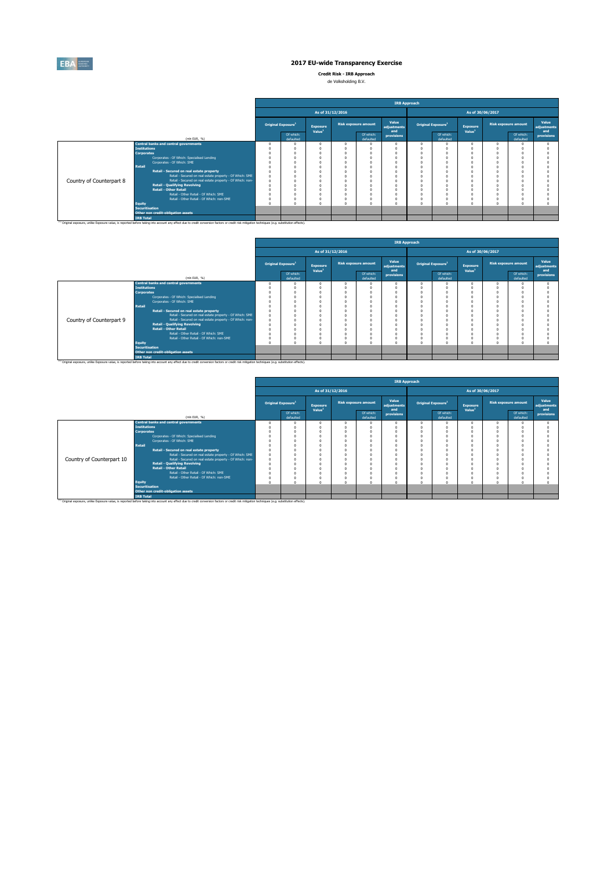

**Credit Risk - IRB Approach**

| ------------ |                      |  |
|--------------|----------------------|--|
|              | de Volksholding B.V. |  |

|                          |                                                                                                                                                                                                                                                                                                                                                                                                                             |                                |                                       |                                            | <b>IRB Approach</b>         |                                                                                          |                                                                                  |                                       |                             |                        |                             |  |
|--------------------------|-----------------------------------------------------------------------------------------------------------------------------------------------------------------------------------------------------------------------------------------------------------------------------------------------------------------------------------------------------------------------------------------------------------------------------|--------------------------------|---------------------------------------|--------------------------------------------|-----------------------------|------------------------------------------------------------------------------------------|----------------------------------------------------------------------------------|---------------------------------------|-----------------------------|------------------------|-----------------------------|--|
|                          |                                                                                                                                                                                                                                                                                                                                                                                                                             |                                | As of 31/12/2016                      |                                            |                             |                                                                                          |                                                                                  |                                       | As of 30/06/2017            |                        |                             |  |
|                          |                                                                                                                                                                                                                                                                                                                                                                                                                             | Original Exposure <sup>1</sup> | <b>Exposure</b><br>Value <sup>1</sup> | <b>Risk exposure amount</b>                | Value<br>adjustments<br>and | Original Exposure <sup>1</sup>                                                           |                                                                                  | <b>Exposure</b><br>Value <sup>1</sup> | <b>Risk exposure amount</b> |                        | Value<br>adjustments<br>and |  |
|                          | (min EUR. %)                                                                                                                                                                                                                                                                                                                                                                                                                | Of which:<br>defaulted         |                                       | Of which:<br>defaulted                     | provisions                  |                                                                                          | Of which:<br>defaulted                                                           |                                       |                             | Of which:<br>defaulted | provisions                  |  |
| Country of Counterpart 8 | <b>Central banks and central governments</b><br><b>Institutions</b><br><b>Corporates</b><br>Corporates - Of Which: Specialised Lending<br>Corporates - Of Which: SME<br>Retail<br>Retail - Secured on real estate property<br>Retail - Secured on real estate property - Of Which: SME<br>Retail - Secured on real estate property - Of Which: non-<br><b>Retail - Qualifying Revolving</b><br><b>Retail - Other Retail</b> |                                | $\Omega$                              | n<br>n<br>$\theta$<br>$\theta$<br>$\Omega$ |                             | $^{\circ}$<br>O<br>n<br>$\Omega$<br>$\theta$<br>0<br>$\theta$<br>n<br>n<br>n<br>$\theta$ | $\Omega$<br>$\Omega$<br>$\Omega$<br>$\Omega$<br>$\Omega$<br>$\Omega$<br>$\Omega$ |                                       |                             |                        |                             |  |
|                          | Retail - Other Retail - Of Which: SME<br>Retail - Other Retail - Of Which: non-SME<br>Equity<br><b>Securitisation</b><br>Other non credit-obligation assets<br><b>IRB Total</b>                                                                                                                                                                                                                                             |                                |                                       | n<br>$\Omega$<br>$\theta$                  |                             | $\Omega$<br>$^{\circ}$<br>$\Omega$                                                       | $\Omega$<br>$\Omega$<br>$\Omega$                                                 |                                       |                             |                        |                             |  |
|                          | (1) Original exposure, unlike Exposure value, is reported before taking into account any effect due to credit conversion factors or credit risk mitigation techniques (e.g. substitution effects).                                                                                                                                                                                                                          |                                |                                       |                                            |                             |                                                                                          |                                                                                  |                                       |                             |                        |                             |  |

|                          |                       |                                                                                                                                                                                                               | <b>IRB Approach</b> |                                |                                       |                  |                             |                      |                                |                        |                                |  |                             |                      |
|--------------------------|-----------------------|---------------------------------------------------------------------------------------------------------------------------------------------------------------------------------------------------------------|---------------------|--------------------------------|---------------------------------------|------------------|-----------------------------|----------------------|--------------------------------|------------------------|--------------------------------|--|-----------------------------|----------------------|
|                          |                       |                                                                                                                                                                                                               |                     |                                |                                       | As of 31/12/2016 |                             |                      |                                |                        | As of 30/06/2017               |  |                             |                      |
|                          |                       |                                                                                                                                                                                                               |                     | Original Exposure <sup>1</sup> | <b>Exposure</b><br>Value <sup>1</sup> |                  | <b>Risk exposure amount</b> | Value<br>adjustments | Original Exposure <sup>1</sup> |                        | Exposure<br>Value <sup>1</sup> |  | <b>Risk exposure amount</b> | Value<br>adjustments |
|                          |                       | (mln EUR, %)                                                                                                                                                                                                  |                     | Of which:<br>defaulted         |                                       |                  | Of which:<br>defaulted      | and<br>provisions    |                                | Of which:<br>defaulted |                                |  | Of which:<br>defaulted      | and<br>provisions    |
|                          |                       | <b>Central banks and central governments</b>                                                                                                                                                                  |                     |                                |                                       |                  |                             |                      | $\Omega$                       | $\Omega$               |                                |  |                             |                      |
|                          | <b>Institutions</b>   |                                                                                                                                                                                                               |                     |                                |                                       |                  |                             |                      |                                |                        |                                |  |                             |                      |
|                          | <b>Corporates</b>     |                                                                                                                                                                                                               |                     |                                |                                       |                  |                             |                      |                                |                        |                                |  |                             |                      |
|                          |                       | Corporates - Of Which: Specialised Lending                                                                                                                                                                    |                     |                                |                                       |                  |                             | $\Omega$             |                                |                        |                                |  |                             |                      |
|                          |                       | Corporates - Of Which: SME                                                                                                                                                                                    |                     |                                |                                       |                  |                             |                      |                                |                        |                                |  |                             |                      |
|                          | <b>Retail</b>         |                                                                                                                                                                                                               |                     |                                |                                       |                  |                             |                      |                                |                        |                                |  |                             |                      |
|                          |                       | Retail - Secured on real estate property                                                                                                                                                                      |                     |                                |                                       |                  |                             |                      | n                              | $\Omega$               |                                |  |                             |                      |
|                          |                       | Retail - Secured on real estate property - Of Which: SME                                                                                                                                                      |                     |                                |                                       |                  |                             |                      |                                | $\Omega$               |                                |  |                             |                      |
| Country of Counterpart 9 |                       | Retail - Secured on real estate property - Of Which: non-                                                                                                                                                     |                     |                                |                                       |                  |                             |                      |                                |                        |                                |  |                             |                      |
|                          |                       | <b>Retail - Qualifying Revolving</b>                                                                                                                                                                          |                     |                                |                                       |                  |                             |                      |                                |                        |                                |  |                             |                      |
|                          |                       | <b>Retail - Other Retail</b>                                                                                                                                                                                  |                     |                                |                                       |                  |                             |                      |                                |                        |                                |  |                             |                      |
|                          |                       | Retail - Other Retail - Of Which: SME                                                                                                                                                                         |                     |                                |                                       |                  |                             |                      |                                |                        |                                |  |                             |                      |
|                          |                       | Retail - Other Retail - Of Which: non-SME                                                                                                                                                                     |                     |                                |                                       |                  |                             |                      |                                | $\Omega$               |                                |  |                             |                      |
|                          | <b>Equity</b>         |                                                                                                                                                                                                               |                     |                                |                                       |                  |                             |                      | $\Omega$                       |                        |                                |  |                             |                      |
|                          | <b>Securitisation</b> |                                                                                                                                                                                                               |                     |                                |                                       |                  |                             |                      |                                |                        |                                |  |                             |                      |
|                          |                       | Other non credit-obligation assets                                                                                                                                                                            |                     |                                |                                       |                  |                             |                      |                                |                        |                                |  |                             |                      |
|                          | <b>IRB Total</b>      |                                                                                                                                                                                                               |                     |                                |                                       |                  |                             |                      |                                |                        |                                |  |                             |                      |
|                          |                       | <sup>(1)</sup> Original exposure, unlike Exposure value, is reported before taking into account any effect due to credit conversion factors or credit risk mitigation techniques (e.g. substitution effects). |                     |                                |                                       |                  |                             |                      |                                |                        |                                |  |                             |                      |

|                           |                       |                                                                                                                                                                                                               | <b>IRB Approach</b> |                                |                                       |                  |                             |                             |   |                                |                                       |  |                             |                             |  |
|---------------------------|-----------------------|---------------------------------------------------------------------------------------------------------------------------------------------------------------------------------------------------------------|---------------------|--------------------------------|---------------------------------------|------------------|-----------------------------|-----------------------------|---|--------------------------------|---------------------------------------|--|-----------------------------|-----------------------------|--|
|                           |                       |                                                                                                                                                                                                               |                     |                                |                                       | As of 31/12/2016 |                             |                             |   |                                | As of 30/06/2017                      |  |                             |                             |  |
|                           |                       |                                                                                                                                                                                                               |                     | Original Exposure <sup>1</sup> | <b>Exposure</b><br>Value <sup>1</sup> |                  | <b>Risk exposure amount</b> | Value<br>adjustments<br>and |   | Original Exposure <sup>1</sup> | <b>Exposure</b><br>Value <sup>1</sup> |  | <b>Risk exposure amount</b> | Value<br>adjustments<br>and |  |
|                           |                       | (min EUR, %)                                                                                                                                                                                                  |                     | Of which:<br>defaulted         |                                       |                  | Of which:<br>defaulted      | provisions                  |   | Of which:<br>defaulted         |                                       |  | Of which:<br>defaulted      | provisions                  |  |
|                           |                       | <b>Central banks and central governments</b>                                                                                                                                                                  |                     |                                |                                       |                  |                             |                             | n |                                |                                       |  |                             |                             |  |
|                           | <b>Institutions</b>   |                                                                                                                                                                                                               |                     |                                |                                       |                  |                             |                             |   |                                |                                       |  |                             |                             |  |
|                           | <b>Corporates</b>     |                                                                                                                                                                                                               |                     |                                |                                       |                  |                             |                             |   |                                |                                       |  |                             |                             |  |
|                           |                       | Corporates - Of Which: Specialised Lending                                                                                                                                                                    |                     |                                |                                       |                  |                             |                             |   |                                |                                       |  |                             |                             |  |
|                           |                       | Corporates - Of Which: SME                                                                                                                                                                                    |                     |                                |                                       |                  |                             |                             |   |                                |                                       |  |                             |                             |  |
|                           | <b>Retail</b>         |                                                                                                                                                                                                               |                     |                                |                                       |                  |                             |                             |   |                                |                                       |  |                             |                             |  |
|                           |                       | Retail - Secured on real estate property                                                                                                                                                                      |                     |                                |                                       |                  |                             |                             |   |                                |                                       |  |                             |                             |  |
|                           |                       | Retail - Secured on real estate property - Of Which: SME                                                                                                                                                      |                     |                                |                                       |                  |                             |                             |   |                                |                                       |  |                             |                             |  |
| Country of Counterpart 10 |                       | Retail - Secured on real estate property - Of Which: non-                                                                                                                                                     |                     |                                |                                       |                  |                             |                             |   |                                |                                       |  |                             |                             |  |
|                           |                       | <b>Retail - Qualifving Revolving</b>                                                                                                                                                                          |                     |                                |                                       |                  |                             |                             |   |                                |                                       |  |                             |                             |  |
|                           |                       | <b>Retail - Other Retail</b>                                                                                                                                                                                  |                     |                                |                                       |                  |                             |                             |   |                                |                                       |  |                             |                             |  |
|                           |                       | Retail - Other Retail - Of Which: SME                                                                                                                                                                         |                     |                                |                                       |                  |                             | $\Omega$                    |   |                                |                                       |  |                             |                             |  |
|                           |                       | Retail - Other Retail - Of Which: non-SME                                                                                                                                                                     |                     |                                |                                       |                  |                             |                             | O |                                |                                       |  |                             |                             |  |
|                           | <b>Equity</b>         |                                                                                                                                                                                                               |                     |                                |                                       |                  |                             | $\alpha$                    | n |                                |                                       |  |                             |                             |  |
|                           | <b>Securitisation</b> |                                                                                                                                                                                                               |                     |                                |                                       |                  |                             |                             |   |                                |                                       |  |                             |                             |  |
|                           |                       | Other non credit-obligation assets                                                                                                                                                                            |                     |                                |                                       |                  |                             |                             |   |                                |                                       |  |                             |                             |  |
|                           | <b>IRB Total</b>      |                                                                                                                                                                                                               |                     |                                |                                       |                  |                             |                             |   |                                |                                       |  |                             |                             |  |
|                           |                       | <sup>(1)</sup> Original exposure, unlike Exposure value, is reported before taking into account any effect due to credit conversion factors or credit risk mitigation techniques (e.g. substitution effects). |                     |                                |                                       |                  |                             |                             |   |                                |                                       |  |                             |                             |  |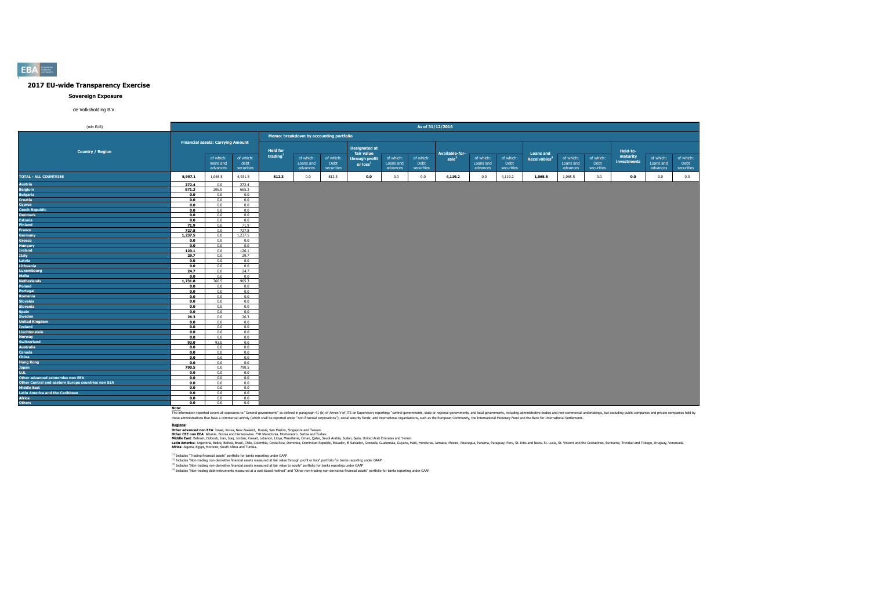#### **Sovereign Exposure**

de Volksholding B.V.

| (mln EUR)                                          |               |                                          |                    |                                         |                       |                   |                                    |                       | As of 31/12/2016   |                   |                       |                    |                          |                        |                   |                         |                        |                    |
|----------------------------------------------------|---------------|------------------------------------------|--------------------|-----------------------------------------|-----------------------|-------------------|------------------------------------|-----------------------|--------------------|-------------------|-----------------------|--------------------|--------------------------|------------------------|-------------------|-------------------------|------------------------|--------------------|
|                                                    |               |                                          |                    | Memo: breakdown by accounting portfolio |                       |                   |                                    |                       |                    |                   |                       |                    |                          |                        |                   |                         |                        |                    |
|                                                    |               | <b>Financial assets: Carrying Amount</b> |                    |                                         |                       |                   |                                    |                       |                    |                   |                       |                    |                          |                        |                   |                         |                        |                    |
| <b>Country / Region</b>                            |               |                                          |                    | <b>Held for</b>                         |                       |                   | <b>Designated at</b><br>fair value |                       |                    | Available-for-    |                       |                    | <b>Loans and</b>         |                        |                   | Held-to-                |                        |                    |
|                                                    |               | of which:<br>loans and                   | of which:          | trading                                 | of which:             | of which:<br>Debt | through profit                     | of which:             | of which:          | sale <sup>3</sup> | of which:             | of which:          | Receivables <sup>4</sup> | of which:<br>Loans and | of which:<br>Debt | maturity<br>investments | of which:<br>Loans and | of which:          |
|                                                    |               | advances                                 | debt<br>securities |                                         | Loans and<br>advances | securities        | or loss <sup>2</sup>               | Loans and<br>advances | Debt<br>securities |                   | Loans and<br>advances | Debt<br>securities |                          | advances               | securities        |                         | advances               | Debt<br>securities |
| <b>TOTAL - ALL COUNTRIES</b>                       | 5,997.1       | 1,065.5                                  | 4,931.5            | 812.3                                   | 0.0                   | 812.3             | 0.0                                | 0.0                   | 0.0                | 4,119.2           | 0.0                   | 4,119.2            | 1,065.5                  | 1,065.5                | 0.0               | 0.0                     | 0.0                    | 0.0                |
| Austria                                            | 272.4         | 0.0                                      | 272.4              |                                         |                       |                   |                                    |                       |                    |                   |                       |                    |                          |                        |                   |                         |                        |                    |
| <b>Belgium</b>                                     | 871.3         | 206.0                                    | 665.3              |                                         |                       |                   |                                    |                       |                    |                   |                       |                    |                          |                        |                   |                         |                        |                    |
| <b>Bulgaria</b>                                    | 0.0           | 0.0                                      | 0.0                |                                         |                       |                   |                                    |                       |                    |                   |                       |                    |                          |                        |                   |                         |                        |                    |
| <b>Croatia</b>                                     | 0.0           | 0.0                                      | 0.0                |                                         |                       |                   |                                    |                       |                    |                   |                       |                    |                          |                        |                   |                         |                        |                    |
| Cyprus                                             | 0.0           | 0.0                                      | 0.0                |                                         |                       |                   |                                    |                       |                    |                   |                       |                    |                          |                        |                   |                         |                        |                    |
| <b>Czech Republic</b>                              | 0.0           | 0.0                                      | 0.0                |                                         |                       |                   |                                    |                       |                    |                   |                       |                    |                          |                        |                   |                         |                        |                    |
| <b>Denmark</b>                                     | 0.0           | 0.0                                      | 0.0                |                                         |                       |                   |                                    |                       |                    |                   |                       |                    |                          |                        |                   |                         |                        |                    |
| <b>Estonia</b>                                     | 0.0           | 0.0                                      | 0.0                |                                         |                       |                   |                                    |                       |                    |                   |                       |                    |                          |                        |                   |                         |                        |                    |
| <b>Finland</b>                                     | 71.9          | 0.0                                      | 71.9               |                                         |                       |                   |                                    |                       |                    |                   |                       |                    |                          |                        |                   |                         |                        |                    |
| France                                             | 727.8         | 0.0                                      | 727.8              |                                         |                       |                   |                                    |                       |                    |                   |                       |                    |                          |                        |                   |                         |                        |                    |
| Germany                                            | 1,237.5       | 0.0                                      | 1,237.5            |                                         |                       |                   |                                    |                       |                    |                   |                       |                    |                          |                        |                   |                         |                        |                    |
| Greece                                             | 0.0           | 0.0                                      | 0.0                |                                         |                       |                   |                                    |                       |                    |                   |                       |                    |                          |                        |                   |                         |                        |                    |
| <b>Hungary</b><br>Ireland                          | 0.0           | 0.0<br>0.0                               | 0.0<br>120.1       |                                         |                       |                   |                                    |                       |                    |                   |                       |                    |                          |                        |                   |                         |                        |                    |
| Italy                                              | 120.1<br>29.7 | 0.0                                      | 29.7               |                                         |                       |                   |                                    |                       |                    |                   |                       |                    |                          |                        |                   |                         |                        |                    |
| Latvia                                             | 0.0           | 0.0                                      | 0.0                |                                         |                       |                   |                                    |                       |                    |                   |                       |                    |                          |                        |                   |                         |                        |                    |
| Lithuania                                          | 0.0           | 0.0                                      | 0.0                |                                         |                       |                   |                                    |                       |                    |                   |                       |                    |                          |                        |                   |                         |                        |                    |
| Luxembourg                                         | 24.7          | 0.0                                      | 24.7               |                                         |                       |                   |                                    |                       |                    |                   |                       |                    |                          |                        |                   |                         |                        |                    |
| Malta                                              | 0.0           | 0.0                                      | 0.0                |                                         |                       |                   |                                    |                       |                    |                   |                       |                    |                          |                        |                   |                         |                        |                    |
| <b>Netherlands</b>                                 | 1,731.8       | 766.5                                    | 965.3              |                                         |                       |                   |                                    |                       |                    |                   |                       |                    |                          |                        |                   |                         |                        |                    |
| Poland                                             | 0.0           | 0.0                                      | 0.0                |                                         |                       |                   |                                    |                       |                    |                   |                       |                    |                          |                        |                   |                         |                        |                    |
| Portugal                                           | 0.0           | 0.0                                      | 0.0                |                                         |                       |                   |                                    |                       |                    |                   |                       |                    |                          |                        |                   |                         |                        |                    |
| Romania                                            | 0.0           | 0.0                                      | 0.0                |                                         |                       |                   |                                    |                       |                    |                   |                       |                    |                          |                        |                   |                         |                        |                    |
| Slovakia                                           | 0.0           | 0.0                                      | 0.0                |                                         |                       |                   |                                    |                       |                    |                   |                       |                    |                          |                        |                   |                         |                        |                    |
| Slovenia                                           | 0.0           | 0.0                                      | 0.0                |                                         |                       |                   |                                    |                       |                    |                   |                       |                    |                          |                        |                   |                         |                        |                    |
| <b>Spain</b>                                       | 0.0           | 0.0                                      | 0.0                |                                         |                       |                   |                                    |                       |                    |                   |                       |                    |                          |                        |                   |                         |                        |                    |
| <b>Sweden</b>                                      | 26.3          | 0.0                                      | 26.3               |                                         |                       |                   |                                    |                       |                    |                   |                       |                    |                          |                        |                   |                         |                        |                    |
| <b>United Kingdom</b>                              | 0.0           | 0.0                                      | 0.0                |                                         |                       |                   |                                    |                       |                    |                   |                       |                    |                          |                        |                   |                         |                        |                    |
| Iceland                                            | 0.0           | 0.0                                      | 0.0                |                                         |                       |                   |                                    |                       |                    |                   |                       |                    |                          |                        |                   |                         |                        |                    |
| Liechtenstein                                      | 0.0           | 0.0                                      | 0.0                |                                         |                       |                   |                                    |                       |                    |                   |                       |                    |                          |                        |                   |                         |                        |                    |
| <b>Norway</b><br><b>Switzerland</b>                | 0.0           | 0.0<br>93.0                              | 0.0<br>0.0         |                                         |                       |                   |                                    |                       |                    |                   |                       |                    |                          |                        |                   |                         |                        |                    |
| <b>Australia</b>                                   | 93.0<br>0.0   | 0.0                                      | 0.0                |                                         |                       |                   |                                    |                       |                    |                   |                       |                    |                          |                        |                   |                         |                        |                    |
| Canada                                             | 0.0           | 0.0                                      | 0.0                |                                         |                       |                   |                                    |                       |                    |                   |                       |                    |                          |                        |                   |                         |                        |                    |
| China                                              | 0.0           | 0.0                                      | 0.0                |                                         |                       |                   |                                    |                       |                    |                   |                       |                    |                          |                        |                   |                         |                        |                    |
| <b>Hong Kong</b>                                   | 0.0           | 0.0                                      | 0.0                |                                         |                       |                   |                                    |                       |                    |                   |                       |                    |                          |                        |                   |                         |                        |                    |
| Japan                                              | 790.5         | 0.0                                      | 790.5              |                                         |                       |                   |                                    |                       |                    |                   |                       |                    |                          |                        |                   |                         |                        |                    |
| U.S.                                               | 0.0           | 0.0                                      | 0.0                |                                         |                       |                   |                                    |                       |                    |                   |                       |                    |                          |                        |                   |                         |                        |                    |
| Other advanced economies non EEA                   | 0.0           | 0.0                                      | 0.0                |                                         |                       |                   |                                    |                       |                    |                   |                       |                    |                          |                        |                   |                         |                        |                    |
| Other Central and eastern Europe countries non EEA | 0.0           | 0.0                                      | 0.0                |                                         |                       |                   |                                    |                       |                    |                   |                       |                    |                          |                        |                   |                         |                        |                    |
| Middle East                                        | 0.0           | 0.0                                      | 0.0                |                                         |                       |                   |                                    |                       |                    |                   |                       |                    |                          |                        |                   |                         |                        |                    |
| <b>Latin America and the Caribbean</b>             | 0.0           | 0.0                                      | 0.0                |                                         |                       |                   |                                    |                       |                    |                   |                       |                    |                          |                        |                   |                         |                        |                    |
| <b>Africa</b>                                      | 0.0           | 0.0                                      | 0.0                |                                         |                       |                   |                                    |                       |                    |                   |                       |                    |                          |                        |                   |                         |                        |                    |
| <b>Others</b>                                      | 0.0           | 0.0                                      | 0.0                |                                         |                       |                   |                                    |                       |                    |                   |                       |                    |                          |                        |                   |                         |                        |                    |

Note:<br>The information reported covers all exposures to "General governments" as defined in paraggin 41 (b) of Annex V of ITS on Supervisory reporting: "central governments, state or regional governments, and both governmen

**Redions:**<br>Other afvanced non EEA: Israel, Korea, New Zealand, Russia, San Marino, Singore and Taiwan.<br>Middle East: Bahain, Dilouti, Iran, Iran, Jordan, Kuran, Libya, Mewhamenn: Semina, Oman, Suna, Suna, Suna, United Arab

(1) Includes "Trading financial assets" portfolio for banks reporting under GAAP

<sup>(2)</sup> Includes "Non-trading non-derivative financial assets measured at fair value through profit or loss" portfolio for banks reporting under GAAP<br><sup>03</sup> Includes "Non-trading non-derivative financial and and the major bank

**EBA**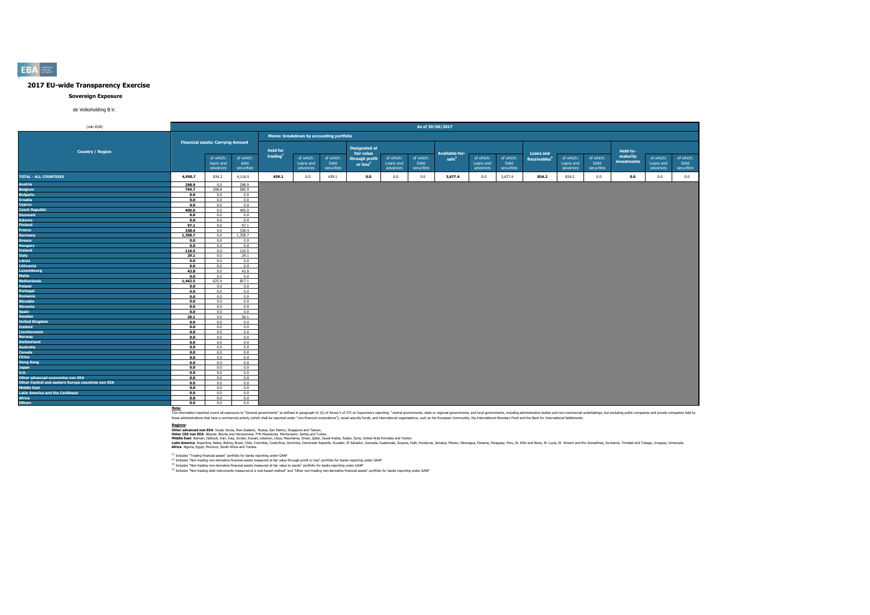#### **Sovereign Exposure**

de Volksholding B.V.

| (mln EUR)                                          |         |                                          |                   |                                         |                        |                   |                              |                        | As of 30/06/2017  |                       |                        |                   |                          |                        |                   |                         |                        |                   |
|----------------------------------------------------|---------|------------------------------------------|-------------------|-----------------------------------------|------------------------|-------------------|------------------------------|------------------------|-------------------|-----------------------|------------------------|-------------------|--------------------------|------------------------|-------------------|-------------------------|------------------------|-------------------|
|                                                    |         |                                          |                   | Memo: breakdown by accounting portfolio |                        |                   |                              |                        |                   |                       |                        |                   |                          |                        |                   |                         |                        |                   |
|                                                    |         | <b>Financial assets: Carrying Amount</b> |                   |                                         |                        |                   | <b>Designated at</b>         |                        |                   |                       |                        |                   |                          |                        |                   |                         |                        |                   |
| <b>Country / Region</b>                            |         |                                          |                   | <b>Held for</b><br>trading              |                        |                   | fair value                   |                        |                   | <b>Available-for-</b> |                        |                   | <b>Loans and</b>         |                        |                   | Held-to-                |                        |                   |
|                                                    |         | of which:<br>loans and                   | of which:<br>debt |                                         | of which:<br>Loans and | of which:<br>Debt | through profit<br>or $loss2$ | of which:<br>Loans and | of which:<br>Debt | sale <sup>3</sup>     | of which:<br>Loans and | of which:<br>Debt | Receivables <sup>4</sup> | of which:<br>Loans and | of which:<br>Debt | maturity<br>investments | of which:<br>Loans and | of which:<br>Debt |
|                                                    |         | advances                                 | securities        |                                         | advances               | securities        |                              | advances               | securities        |                       | advances               | securities        |                          | advances               | securities        |                         | advances               | securities        |
| <b>TOTAL - ALL COUNTRIES</b>                       | 4,950.7 | 834.2                                    | 4,116.5           | 439.1                                   | 0.0                    | 439.1             | 0.0                          | 0.0                    | 0.0               | 3,677.4               | $0.0\,$                | 3,677.4           | 834.2                    | 834.2                  | 0.0               | 0.0                     | 0.0                    | 0.0               |
| Austria                                            | 298.9   | 0.0                                      | 298.9             |                                         |                        |                   |                              |                        |                   |                       |                        |                   |                          |                        |                   |                         |                        |                   |
| <b>Belgium</b>                                     | 794.7   | 208.8                                    | 585.9             |                                         |                        |                   |                              |                        |                   |                       |                        |                   |                          |                        |                   |                         |                        |                   |
| <b>Bulgaria</b>                                    | 0.0     | 0.0                                      | 0.0               |                                         |                        |                   |                              |                        |                   |                       |                        |                   |                          |                        |                   |                         |                        |                   |
| <b>Croatia</b>                                     | 0.0     | 0.0                                      | 0.0               |                                         |                        |                   |                              |                        |                   |                       |                        |                   |                          |                        |                   |                         |                        |                   |
| Cyprus                                             | 0.0     | 0.0                                      | 0.0               |                                         |                        |                   |                              |                        |                   |                       |                        |                   |                          |                        |                   |                         |                        |                   |
| <b>Czech Republic</b>                              | 405.0   | 0.0                                      | 405.0             |                                         |                        |                   |                              |                        |                   |                       |                        |                   |                          |                        |                   |                         |                        |                   |
| <b>Denmark</b>                                     | 0.0     | 0.0                                      | 0.0               |                                         |                        |                   |                              |                        |                   |                       |                        |                   |                          |                        |                   |                         |                        |                   |
| <b>Estonia</b>                                     | 0.0     | 0.0                                      | 0.0               |                                         |                        |                   |                              |                        |                   |                       |                        |                   |                          |                        |                   |                         |                        |                   |
| <b>Finland</b>                                     | 97.1    | 0.0                                      | 97.1              |                                         |                        |                   |                              |                        |                   |                       |                        |                   |                          |                        |                   |                         |                        |                   |
| France                                             | 338.4   | 0.0                                      | 338.4             |                                         |                        |                   |                              |                        |                   |                       |                        |                   |                          |                        |                   |                         |                        |                   |
| Germany                                            | 1,358.7 | 0.0                                      | 1,358.7           |                                         |                        |                   |                              |                        |                   |                       |                        |                   |                          |                        |                   |                         |                        |                   |
| Greece                                             | 0.0     | 0.0                                      | 0.0               |                                         |                        |                   |                              |                        |                   |                       |                        |                   |                          |                        |                   |                         |                        |                   |
| <b>Hungary</b>                                     | 0.0     | 0.0                                      | 0.0               |                                         |                        |                   |                              |                        |                   |                       |                        |                   |                          |                        |                   |                         |                        |                   |
| Ireland                                            | 116.5   | 0.0                                      | 116.5             |                                         |                        |                   |                              |                        |                   |                       |                        |                   |                          |                        |                   |                         |                        |                   |
| <b>Italy</b>                                       | 29.1    | 0.0                                      | 29.1              |                                         |                        |                   |                              |                        |                   |                       |                        |                   |                          |                        |                   |                         |                        |                   |
| Latvia                                             | 0.0     | 0.0                                      | 0.0               |                                         |                        |                   |                              |                        |                   |                       |                        |                   |                          |                        |                   |                         |                        |                   |
| Lithuania                                          | 0.0     | 0.0                                      | 0.0               |                                         |                        |                   |                              |                        |                   |                       |                        |                   |                          |                        |                   |                         |                        |                   |
| Luxembourg                                         | 43.8    | 0.0                                      | 43.8              |                                         |                        |                   |                              |                        |                   |                       |                        |                   |                          |                        |                   |                         |                        |                   |
| Malta                                              | 0.0     | 0.0                                      | 0.0               |                                         |                        |                   |                              |                        |                   |                       |                        |                   |                          |                        |                   |                         |                        |                   |
| <b>Netherlands</b>                                 | 1,442.5 | 625.4                                    | 817.1             |                                         |                        |                   |                              |                        |                   |                       |                        |                   |                          |                        |                   |                         |                        |                   |
| Poland                                             | 0.0     | 0.0                                      | 0.0               |                                         |                        |                   |                              |                        |                   |                       |                        |                   |                          |                        |                   |                         |                        |                   |
| Portugal                                           | 0.0     | 0.0                                      | 0.0               |                                         |                        |                   |                              |                        |                   |                       |                        |                   |                          |                        |                   |                         |                        |                   |
| Romania                                            | 0.0     | 0.0                                      | 0.0               |                                         |                        |                   |                              |                        |                   |                       |                        |                   |                          |                        |                   |                         |                        |                   |
| Slovakia                                           | 0.0     | 0.0                                      | 0.0               |                                         |                        |                   |                              |                        |                   |                       |                        |                   |                          |                        |                   |                         |                        |                   |
| Slovenia                                           | 0.0     | 0.0                                      | 0.0               |                                         |                        |                   |                              |                        |                   |                       |                        |                   |                          |                        |                   |                         |                        |                   |
| <b>Spain</b>                                       | 0.0     | 0.0                                      | 0.0               |                                         |                        |                   |                              |                        |                   |                       |                        |                   |                          |                        |                   |                         |                        |                   |
| Sweden                                             | 26.1    | 0.0                                      | 26.1              |                                         |                        |                   |                              |                        |                   |                       |                        |                   |                          |                        |                   |                         |                        |                   |
| <b>United Kingdom</b>                              | 0.0     | 0.0                                      | 0.0               |                                         |                        |                   |                              |                        |                   |                       |                        |                   |                          |                        |                   |                         |                        |                   |
| Iceland                                            | 0.0     | 0.0                                      | 0.0               |                                         |                        |                   |                              |                        |                   |                       |                        |                   |                          |                        |                   |                         |                        |                   |
| Liechtenstein                                      | 0.0     | 0.0                                      | 0.0               |                                         |                        |                   |                              |                        |                   |                       |                        |                   |                          |                        |                   |                         |                        |                   |
| <b>Norway</b>                                      | 0.0     | 0.0                                      | 0.0               |                                         |                        |                   |                              |                        |                   |                       |                        |                   |                          |                        |                   |                         |                        |                   |
| <b>Switzerland</b>                                 | 0.0     | 0.0                                      | 0.0               |                                         |                        |                   |                              |                        |                   |                       |                        |                   |                          |                        |                   |                         |                        |                   |
| <b>Australia</b>                                   | 0.0     | 0.0                                      | 0.0               |                                         |                        |                   |                              |                        |                   |                       |                        |                   |                          |                        |                   |                         |                        |                   |
| Canada                                             | 0.0     | 0.0                                      | 0.0               |                                         |                        |                   |                              |                        |                   |                       |                        |                   |                          |                        |                   |                         |                        |                   |
| <b>China</b>                                       | 0.0     | 0.0                                      | 0.0               |                                         |                        |                   |                              |                        |                   |                       |                        |                   |                          |                        |                   |                         |                        |                   |
| <b>Hong Kong</b>                                   | 0.0     | 0.0                                      | 0.0               |                                         |                        |                   |                              |                        |                   |                       |                        |                   |                          |                        |                   |                         |                        |                   |
| Japan                                              | 0.0     | 0.0                                      | 0.0               |                                         |                        |                   |                              |                        |                   |                       |                        |                   |                          |                        |                   |                         |                        |                   |
| U.S.                                               | 0.0     | 0.0                                      | 0.0               |                                         |                        |                   |                              |                        |                   |                       |                        |                   |                          |                        |                   |                         |                        |                   |
| Other advanced economies non EEA                   | 0.0     | 0.0                                      | 0.0               |                                         |                        |                   |                              |                        |                   |                       |                        |                   |                          |                        |                   |                         |                        |                   |
| Other Central and eastern Europe countries non EEA | 0.0     | 0.0                                      | 0.0               |                                         |                        |                   |                              |                        |                   |                       |                        |                   |                          |                        |                   |                         |                        |                   |
| Middle East                                        | 0.0     | 0.0                                      | 0.0               |                                         |                        |                   |                              |                        |                   |                       |                        |                   |                          |                        |                   |                         |                        |                   |
| <b>Latin America and the Caribbean</b>             | 0.0     | 0.0                                      | 0.0               |                                         |                        |                   |                              |                        |                   |                       |                        |                   |                          |                        |                   |                         |                        |                   |
| <b>Africa</b>                                      | 0.0     | 0.0                                      | 0.0               |                                         |                        |                   |                              |                        |                   |                       |                        |                   |                          |                        |                   |                         |                        |                   |
| <b>Others</b>                                      | 0.0     | 0.0                                      | 0.0               |                                         |                        |                   |                              |                        |                   |                       |                        |                   |                          |                        |                   |                         |                        |                   |

Note:<br>The information reported covers all exposures to "General governments" as defined in paraggin 41 (b) of Annex V of ITS on Supervisory reporting: "central governments, state or regional governments, and both governmen

**Redions:**<br>Other afvanced non EEA: Israel, Korea, New Zealand, Russia, San Marino, Singore and Taiwan.<br>Middle East: Bahain, Dilouti, Iran, Iran, Jordan, Kuran, Libya, Mewhamenn: Semina, Oman, Suna, Suna, Suna, United Arab

(1) Includes "Trading financial assets" portfolio for banks reporting under GAAP

<sup>(2)</sup> Includes "Non-trading non-derivative financial assets measured at fair value through profit or loss" portfolio for banks reporting under GAAP<br><sup>03</sup> Includes "Non-trading non-derivative financial and and the major bank

**EBA**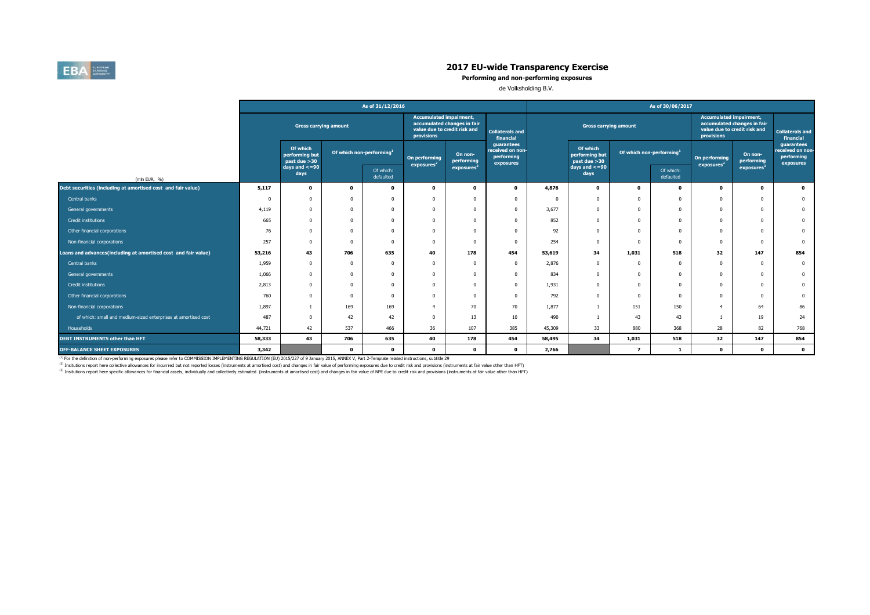

**Performing and non-performing exposures**

de Volksholding B.V.

|                                                                |        |                                                      |                                      | As of 31/12/2016 |                                         |                                                                                                                                                    |                                                           | As of 30/06/2017 |                                            |                                      |                        |                                              |                                                             |                                                           |  |
|----------------------------------------------------------------|--------|------------------------------------------------------|--------------------------------------|------------------|-----------------------------------------|----------------------------------------------------------------------------------------------------------------------------------------------------|-----------------------------------------------------------|------------------|--------------------------------------------|--------------------------------------|------------------------|----------------------------------------------|-------------------------------------------------------------|-----------------------------------------------------------|--|
|                                                                |        | <b>Gross carrying amount</b>                         |                                      |                  |                                         | <b>Accumulated impairment,</b><br>accumulated changes in fair<br>value due to credit risk and<br><b>Collaterals and</b><br>provisions<br>financial |                                                           |                  | <b>Gross carrying amount</b>               |                                      |                        | <b>Accumulated impairment,</b><br>provisions | accumulated changes in fair<br>value due to credit risk and | <b>Collaterals and</b><br>financial                       |  |
|                                                                |        | Of which<br>performing but<br>past due >30           | Of which non-performing <sup>1</sup> |                  | On performing<br>exposures <sup>2</sup> | On non-<br>performing                                                                                                                              | guarantees<br>received on non-<br>performing<br>exposures |                  | Of which<br>performing but<br>past due >30 | Of which non-performing <sup>1</sup> |                        | On performing<br>exposures <sup>2</sup>      | On non-<br>performing                                       | guarantees<br>received on non-<br>performing<br>exposures |  |
| (mln EUR, %)                                                   |        | days and $\lt$ =90<br>Of which:<br>days<br>defaulted |                                      |                  |                                         | exposures                                                                                                                                          |                                                           |                  | days and $\lt$ =90<br>days                 |                                      | Of which:<br>defaulted |                                              | exposures                                                   |                                                           |  |
| Debt securities (including at amortised cost and fair value)   | 5,117  | $\mathbf 0$                                          | 0                                    | $\mathbf{0}$     | $\Omega$                                | $\Omega$                                                                                                                                           | $\mathbf 0$                                               | 4,876            | $\mathbf 0$                                | $\Omega$                             | 0                      | $\mathbf 0$                                  | $\mathbf{o}$                                                | $\mathbf{0}$                                              |  |
| Central banks                                                  |        | n                                                    |                                      | $\Omega$         |                                         |                                                                                                                                                    | $\Omega$                                                  |                  | <sup>n</sup>                               |                                      | $\Omega$               | $\Omega$                                     | $\Omega$                                                    | $\bf{0}$                                                  |  |
| General governments                                            | 4,119  | 0                                                    |                                      | $\Omega$         |                                         |                                                                                                                                                    | $\Omega$                                                  | 3,677            | $\Omega$                                   |                                      | $\Omega$               | $^{\circ}$                                   | $\Omega$                                                    | $\mathbf{0}$                                              |  |
| Credit institutions                                            | 665    | $\Omega$                                             |                                      | $\Omega$         | $\Omega$                                |                                                                                                                                                    | $\Omega$                                                  | 852              | $\Omega$                                   | n                                    | $\Omega$               | $^{\circ}$                                   | $\Omega$                                                    | $\mathbf{0}$                                              |  |
| Other financial corporations                                   | 76     | 0                                                    |                                      | $\Omega$         |                                         |                                                                                                                                                    | $\Omega$                                                  | 92               | $\Omega$                                   |                                      | $\Omega$               | $^{\circ}$                                   | $\Omega$                                                    | $\mathbf{0}$                                              |  |
| Non-financial corporations                                     | 257    | 0                                                    |                                      | $\Omega$         |                                         |                                                                                                                                                    | $\Omega$                                                  | 254              | $\Omega$                                   |                                      | $\Omega$               | $^{\circ}$                                   | $\Omega$                                                    | $\overline{0}$                                            |  |
| Loans and advances(including at amortised cost and fair value) | 53,216 | 43                                                   | 706                                  | 635              | 40                                      | 178                                                                                                                                                | 454                                                       | 53,619           | 34                                         | 1,031                                | 518                    | 32                                           | 147                                                         | 854                                                       |  |
| Central banks                                                  | 1,959  | $\Omega$                                             |                                      | $\Omega$         | $\Omega$                                | $\Omega$                                                                                                                                           | $\Omega$                                                  | 2,876            | $\Omega$                                   |                                      | $\Omega$               | $^{\circ}$                                   | $\Omega$                                                    | $\mathbf{0}$                                              |  |
| General governments                                            | 1,066  | 0                                                    |                                      | $\Omega$         |                                         |                                                                                                                                                    | $\Omega$                                                  | 834              | $\Omega$                                   |                                      | $\Omega$               | $^{\circ}$                                   | $\Omega$                                                    | $\mathbf{0}$                                              |  |
| Credit institutions                                            | 2,813  | 0                                                    |                                      | $\Omega$         |                                         |                                                                                                                                                    | $\Omega$                                                  | 1,931            | $\Omega$                                   |                                      | $\Omega$               | $\Omega$                                     | n                                                           | $\mathbf{0}$                                              |  |
| Other financial corporations                                   | 760    | 0                                                    |                                      | $\Omega$         |                                         |                                                                                                                                                    | $\Omega$                                                  | 792              | $\Omega$                                   | n                                    | $\Omega$               | $^{\circ}$                                   | $\Omega$                                                    | $\bf{0}$                                                  |  |
| Non-financial corporations                                     | 1,897  |                                                      | 169                                  | 169              |                                         | 70                                                                                                                                                 | 70                                                        | 1,877            |                                            | 151                                  | 150                    | $\overline{4}$                               | 64                                                          | 86                                                        |  |
| of which: small and medium-sized enterprises at amortised cost | 487    | <sub>0</sub>                                         | 42                                   | 42               |                                         | 13                                                                                                                                                 | 10                                                        | 490              |                                            | 43                                   | 43                     |                                              | 19                                                          | 24                                                        |  |
| Households                                                     | 44,721 | 42                                                   | 537                                  | 466              | 36                                      | 107                                                                                                                                                | 385                                                       | 45,309           | 33                                         | 880                                  | 368                    | 28                                           | 82                                                          | 768                                                       |  |
| <b>DEBT INSTRUMENTS other than HFT</b>                         | 58,333 | 43                                                   | 706                                  | 635              | 40                                      | 178                                                                                                                                                | 454                                                       | 58,495           | 34                                         | 1,031                                | 518                    | 32                                           | 147                                                         | 854                                                       |  |
| <b>OFF-BALANCE SHEET EXPOSURES</b>                             | 3,342  |                                                      | $\mathbf{o}$                         | $\mathbf 0$      | $^{\circ}$                              | $^{\circ}$                                                                                                                                         | $\mathbf 0$                                               | 2,766            |                                            | $\overline{ }$                       | -1                     | $\Omega$                                     | $\mathbf 0$                                                 | $\bullet$                                                 |  |

<sup>(1)</sup> For the definition of non-performing exposures please refer to COMMISSION IMPLEMENTING REGULATION (EU) 2015/227 of 9 January 2015, ANNEX V, Part 2-Template related instructions, subtitle 29

<sup>(2)</sup> Insitutions report here collective allowances for incurrred but not reported losses (instruments at amortised cost) and changes in fair value of performing exposures due to credit risk and provisions (instruments at